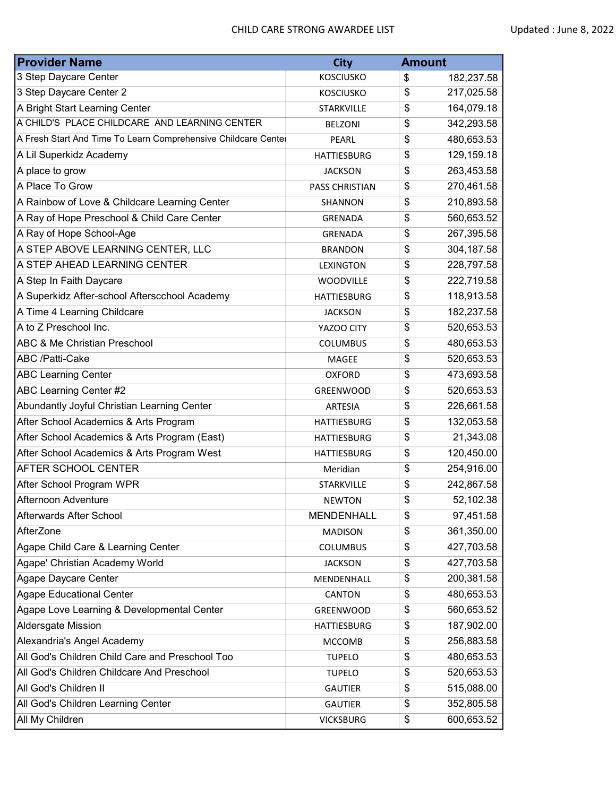| <b>Provider Name</b>                                           | <b>City</b>           | <b>Amount</b>    |
|----------------------------------------------------------------|-----------------------|------------------|
| 3 Step Daycare Center                                          | <b>KOSCIUSKO</b>      | \$<br>182,237.58 |
| 3 Step Daycare Center 2                                        | <b>KOSCIUSKO</b>      | \$<br>217,025.58 |
| A Bright Start Learning Center                                 | <b>STARKVILLE</b>     | \$<br>164,079.18 |
| A CHILD'S PLACE CHILDCARE AND LEARNING CENTER                  | <b>BELZONI</b>        | \$<br>342,293.58 |
| A Fresh Start And Time To Learn Comprehensive Childcare Centel | PEARL                 | \$<br>480,653.53 |
| A Lil Superkidz Academy                                        | <b>HATTIESBURG</b>    | \$<br>129,159.18 |
| A place to grow                                                | <b>JACKSON</b>        | \$<br>263,453.58 |
| A Place To Grow                                                | <b>PASS CHRISTIAN</b> | \$<br>270,461.58 |
| A Rainbow of Love & Childcare Learning Center                  | SHANNON               | \$<br>210,893.58 |
| A Ray of Hope Preschool & Child Care Center                    | <b>GRENADA</b>        | \$<br>560,653.52 |
| A Ray of Hope School-Age                                       | GRENADA               | \$<br>267,395.58 |
| A STEP ABOVE LEARNING CENTER, LLC                              | <b>BRANDON</b>        | \$<br>304,187.58 |
| A STEP AHEAD LEARNING CENTER                                   | <b>LEXINGTON</b>      | \$<br>228,797.58 |
| A Step In Faith Daycare                                        | <b>WOODVILLE</b>      | \$<br>222,719.58 |
| A Superkidz After-school Afterscchool Academy                  | <b>HATTIESBURG</b>    | \$<br>118,913.58 |
| A Time 4 Learning Childcare                                    | <b>JACKSON</b>        | \$<br>182,237.58 |
| A to Z Preschool Inc.                                          | YAZOO CITY            | \$<br>520,653.53 |
| <b>ABC &amp; Me Christian Preschool</b>                        | <b>COLUMBUS</b>       | \$<br>480,653.53 |
| ABC /Patti-Cake                                                | MAGEE                 | \$<br>520,653.53 |
| <b>ABC Learning Center</b>                                     | <b>OXFORD</b>         | \$<br>473,693.58 |
| ABC Learning Center #2                                         | <b>GREENWOOD</b>      | \$<br>520,653.53 |
| Abundantly Joyful Christian Learning Center                    | <b>ARTESIA</b>        | \$<br>226,661.58 |
| After School Academics & Arts Program                          | <b>HATTIESBURG</b>    | \$<br>132,053.58 |
| After School Academics & Arts Program (East)                   | <b>HATTIESBURG</b>    | \$<br>21,343.08  |
| After School Academics & Arts Program West                     | <b>HATTIESBURG</b>    | \$<br>120,450.00 |
| AFTER SCHOOL CENTER                                            | Meridian              | \$<br>254,916.00 |
| After School Program WPR                                       | <b>STARKVILLE</b>     | \$<br>242,867.58 |
| Afternoon Adventure                                            | <b>NEWTON</b>         | \$<br>52,102.38  |
| Afterwards After School                                        | <b>MENDENHALL</b>     | \$<br>97,451.58  |
| AfterZone                                                      | <b>MADISON</b>        | \$<br>361,350.00 |
| Agape Child Care & Learning Center                             | <b>COLUMBUS</b>       | \$<br>427,703.58 |
| Agape' Christian Academy World                                 | <b>JACKSON</b>        | \$<br>427,703.58 |
| Agape Daycare Center                                           | MENDENHALL            | \$<br>200,381.58 |
| <b>Agape Educational Center</b>                                | CANTON                | \$<br>480,653.53 |
| Agape Love Learning & Developmental Center                     | GREENWOOD             | \$<br>560,653.52 |
| Aldersgate Mission                                             | <b>HATTIESBURG</b>    | \$<br>187,902.00 |
| Alexandria's Angel Academy                                     | <b>MCCOMB</b>         | \$<br>256,883.58 |
| All God's Children Child Care and Preschool Too                | <b>TUPELO</b>         | \$<br>480,653.53 |
| All God's Children Childcare And Preschool                     | <b>TUPELO</b>         | \$<br>520,653.53 |
| All God's Children II                                          | <b>GAUTIER</b>        | \$<br>515,088.00 |
| All God's Children Learning Center                             | <b>GAUTIER</b>        | \$<br>352,805.58 |
| All My Children                                                | <b>VICKSBURG</b>      | \$<br>600,653.52 |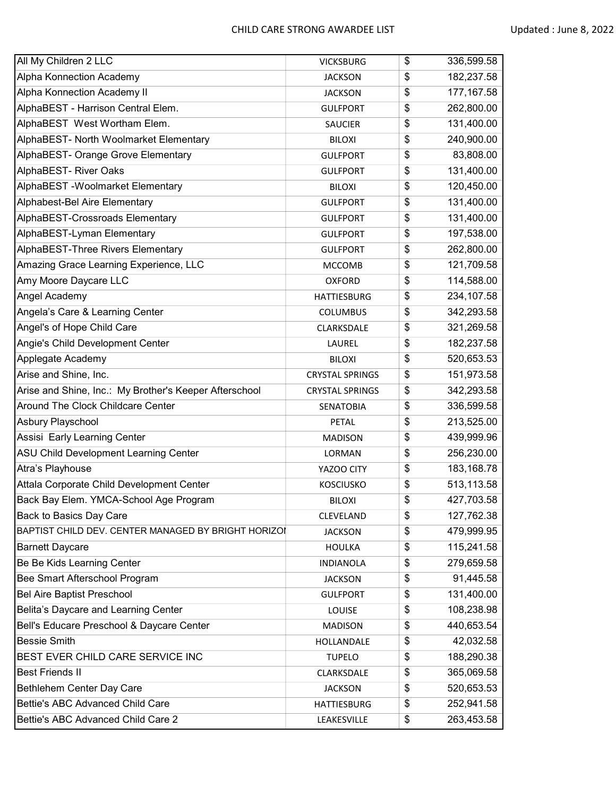| All My Children 2 LLC                                  | <b>VICKSBURG</b>       | \$<br>336,599.58  |
|--------------------------------------------------------|------------------------|-------------------|
| Alpha Konnection Academy                               | <b>JACKSON</b>         | \$<br>182,237.58  |
| Alpha Konnection Academy II                            | <b>JACKSON</b>         | \$<br>177, 167.58 |
| AlphaBEST - Harrison Central Elem.                     | <b>GULFPORT</b>        | \$<br>262,800.00  |
| AlphaBEST West Wortham Elem.                           | <b>SAUCIER</b>         | \$<br>131,400.00  |
| AlphaBEST- North Woolmarket Elementary                 | <b>BILOXI</b>          | \$<br>240,900.00  |
| AlphaBEST- Orange Grove Elementary                     | <b>GULFPORT</b>        | \$<br>83,808.00   |
| AlphaBEST- River Oaks                                  | <b>GULFPORT</b>        | \$<br>131,400.00  |
| AlphaBEST - Woolmarket Elementary                      | <b>BILOXI</b>          | \$<br>120,450.00  |
| Alphabest-Bel Aire Elementary                          | <b>GULFPORT</b>        | \$<br>131,400.00  |
| AlphaBEST-Crossroads Elementary                        | <b>GULFPORT</b>        | \$<br>131,400.00  |
| AlphaBEST-Lyman Elementary                             | <b>GULFPORT</b>        | \$<br>197,538.00  |
| AlphaBEST-Three Rivers Elementary                      | <b>GULFPORT</b>        | \$<br>262,800.00  |
| Amazing Grace Learning Experience, LLC                 | <b>MCCOMB</b>          | \$<br>121,709.58  |
| Amy Moore Daycare LLC                                  | <b>OXFORD</b>          | \$<br>114,588.00  |
| Angel Academy                                          | <b>HATTIESBURG</b>     | \$<br>234,107.58  |
| Angela's Care & Learning Center                        | <b>COLUMBUS</b>        | \$<br>342,293.58  |
| Angel's of Hope Child Care                             | CLARKSDALE             | \$<br>321,269.58  |
| Angie's Child Development Center                       | LAUREL                 | \$<br>182,237.58  |
| Applegate Academy                                      | <b>BILOXI</b>          | \$<br>520,653.53  |
| Arise and Shine, Inc.                                  | <b>CRYSTAL SPRINGS</b> | \$<br>151,973.58  |
| Arise and Shine, Inc.: My Brother's Keeper Afterschool | <b>CRYSTAL SPRINGS</b> | \$<br>342,293.58  |
| Around The Clock Childcare Center                      | SENATOBIA              | \$<br>336,599.58  |
| Asbury Playschool                                      | <b>PETAL</b>           | \$<br>213,525.00  |
| Assisi Early Learning Center                           | <b>MADISON</b>         | \$<br>439,999.96  |
| ASU Child Development Learning Center                  | LORMAN                 | \$<br>256,230.00  |
| Atra's Playhouse                                       | YAZOO CITY             | \$<br>183,168.78  |
| Attala Corporate Child Development Center              | <b>KOSCIUSKO</b>       | \$<br>513,113.58  |
| Back Bay Elem. YMCA-School Age Program                 | <b>BILOXI</b>          | \$<br>427,703.58  |
| Back to Basics Day Care                                | CLEVELAND              | \$<br>127,762.38  |
| BAPTIST CHILD DEV. CENTER MANAGED BY BRIGHT HORIZOI    | <b>JACKSON</b>         | \$<br>479,999.95  |
| <b>Barnett Daycare</b>                                 | <b>HOULKA</b>          | \$<br>115,241.58  |
| Be Be Kids Learning Center                             | <b>INDIANOLA</b>       | \$<br>279,659.58  |
| Bee Smart Afterschool Program                          | <b>JACKSON</b>         | \$<br>91,445.58   |
| <b>Bel Aire Baptist Preschool</b>                      | <b>GULFPORT</b>        | \$<br>131,400.00  |
| Belita's Daycare and Learning Center                   | LOUISE                 | \$<br>108,238.98  |
| Bell's Educare Preschool & Daycare Center              | <b>MADISON</b>         | \$<br>440,653.54  |
| <b>Bessie Smith</b>                                    | HOLLANDALE             | \$<br>42,032.58   |
| BEST EVER CHILD CARE SERVICE INC                       | <b>TUPELO</b>          | \$<br>188,290.38  |
| <b>Best Friends II</b>                                 | CLARKSDALE             | \$<br>365,069.58  |
| Bethlehem Center Day Care                              | <b>JACKSON</b>         | \$<br>520,653.53  |
| Bettie's ABC Advanced Child Care                       | <b>HATTIESBURG</b>     | \$<br>252,941.58  |
| Bettie's ABC Advanced Child Care 2                     | LEAKESVILLE            | \$<br>263,453.58  |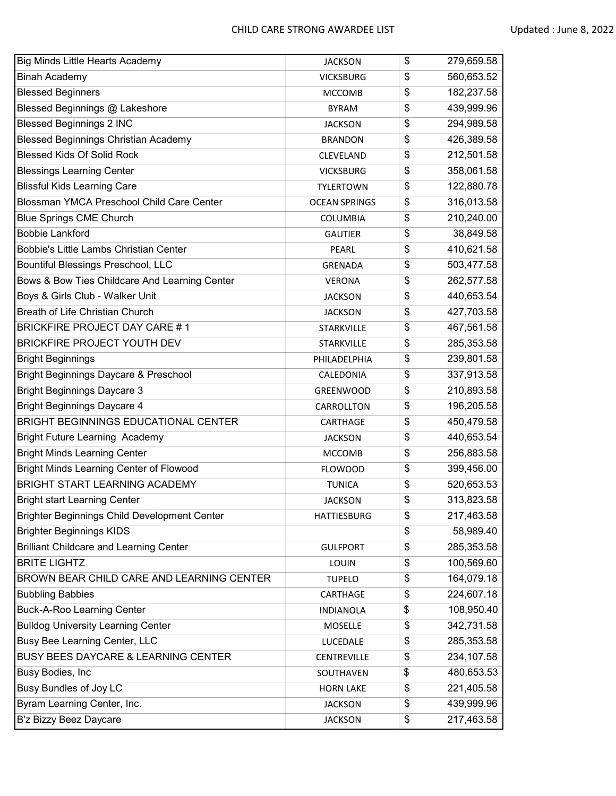| <b>Big Minds Little Hearts Academy</b>           | <b>JACKSON</b>       | \$<br>279,659.58 |
|--------------------------------------------------|----------------------|------------------|
| <b>Binah Academy</b>                             | <b>VICKSBURG</b>     | \$<br>560,653.52 |
| <b>Blessed Beginners</b>                         | <b>MCCOMB</b>        | \$<br>182,237.58 |
| Blessed Beginnings @ Lakeshore                   | <b>BYRAM</b>         | \$<br>439,999.96 |
| <b>Blessed Beginnings 2 INC</b>                  | <b>JACKSON</b>       | \$<br>294,989.58 |
| <b>Blessed Beginnings Christian Academy</b>      | <b>BRANDON</b>       | \$<br>426,389.58 |
| <b>Blessed Kids Of Solid Rock</b>                | CLEVELAND            | \$<br>212,501.58 |
| <b>Blessings Learning Center</b>                 | <b>VICKSBURG</b>     | \$<br>358,061.58 |
| <b>Blissful Kids Learning Care</b>               | <b>TYLERTOWN</b>     | \$<br>122,880.78 |
| Blossman YMCA Preschool Child Care Center        | <b>OCEAN SPRINGS</b> | \$<br>316,013.58 |
| <b>Blue Springs CME Church</b>                   | <b>COLUMBIA</b>      | \$<br>210,240.00 |
| <b>Bobbie Lankford</b>                           | <b>GAUTIER</b>       | \$<br>38,849.58  |
| <b>Bobbie's Little Lambs Christian Center</b>    | PEARL                | \$<br>410,621.58 |
| Bountiful Blessings Preschool, LLC               | <b>GRENADA</b>       | \$<br>503,477.58 |
| Bows & Bow Ties Childcare And Learning Center    | <b>VERONA</b>        | \$<br>262,577.58 |
| Boys & Girls Club - Walker Unit                  | <b>JACKSON</b>       | \$<br>440,653.54 |
| Breath of Life Christian Church                  | <b>JACKSON</b>       | \$<br>427,703.58 |
| <b>BRICKFIRE PROJECT DAY CARE #1</b>             | <b>STARKVILLE</b>    | \$<br>467,561.58 |
| <b>BRICKFIRE PROJECT YOUTH DEV</b>               | STARKVILLE           | \$<br>285,353.58 |
| <b>Bright Beginnings</b>                         | PHILADELPHIA         | \$<br>239,801.58 |
| <b>Bright Beginnings Daycare &amp; Preschool</b> | CALEDONIA            | \$<br>337,913.58 |
| <b>Bright Beginnings Daycare 3</b>               | <b>GREENWOOD</b>     | \$<br>210,893.58 |
| <b>Bright Beginnings Daycare 4</b>               | CARROLLTON           | \$<br>196,205.58 |
| BRIGHT BEGINNINGS EDUCATIONAL CENTER             | CARTHAGE             | \$<br>450,479.58 |
| <b>Bright Future Learning Academy</b>            | <b>JACKSON</b>       | \$<br>440,653.54 |
| <b>Bright Minds Learning Center</b>              | <b>MCCOMB</b>        | \$<br>256,883.58 |
| <b>Bright Minds Learning Center of Flowood</b>   | <b>FLOWOOD</b>       | \$<br>399,456.00 |
| BRIGHT START LEARNING ACADEMY                    | <b>TUNICA</b>        | \$<br>520,653.53 |
| <b>Bright start Learning Center</b>              | <b>JACKSON</b>       | \$<br>313,823.58 |
| Brighter Beginnings Child Development Center     | <b>HATTIESBURG</b>   | \$<br>217,463.58 |
| <b>Brighter Beginnings KIDS</b>                  |                      | \$<br>58,989.40  |
| <b>Brilliant Childcare and Learning Center</b>   | <b>GULFPORT</b>      | \$<br>285,353.58 |
| <b>BRITE LIGHTZ</b>                              | LOUIN                | \$<br>100,569.60 |
| BROWN BEAR CHILD CARE AND LEARNING CENTER        | <b>TUPELO</b>        | \$<br>164,079.18 |
| <b>Bubbling Babbies</b>                          | CARTHAGE             | \$<br>224,607.18 |
| <b>Buck-A-Roo Learning Center</b>                | <b>INDIANOLA</b>     | \$<br>108,950.40 |
| <b>Bulldog University Learning Center</b>        | MOSELLE              | \$<br>342,731.58 |
| Busy Bee Learning Center, LLC                    | LUCEDALE             | \$<br>285,353.58 |
| BUSY BEES DAYCARE & LEARNING CENTER              | CENTREVILLE          | \$<br>234,107.58 |
| Busy Bodies, Inc                                 | SOUTHAVEN            | \$<br>480,653.53 |
| Busy Bundles of Joy LC                           | <b>HORN LAKE</b>     | \$<br>221,405.58 |
| Byram Learning Center, Inc.                      | <b>JACKSON</b>       | \$<br>439,999.96 |
| B'z Bizzy Beez Daycare                           | <b>JACKSON</b>       | \$<br>217,463.58 |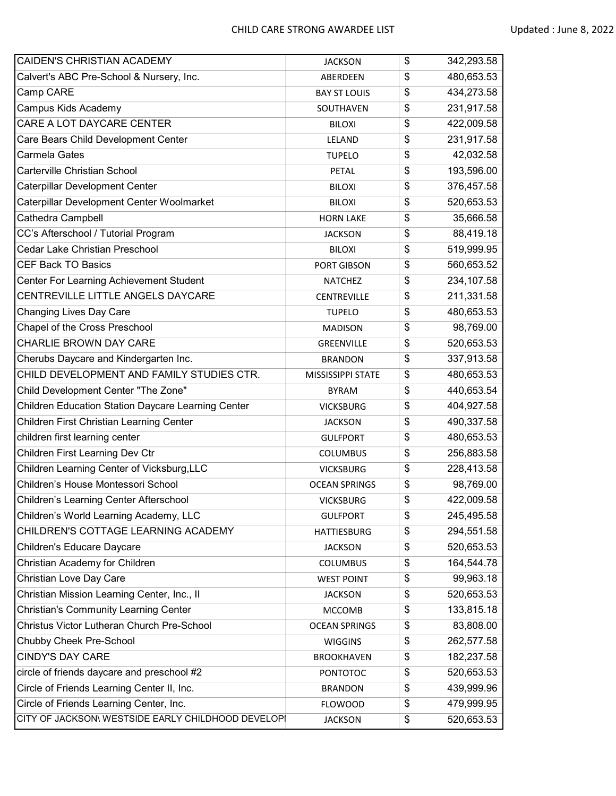| CAIDEN'S CHRISTIAN ACADEMY                         | <b>JACKSON</b>       | \$<br>342,293.58 |
|----------------------------------------------------|----------------------|------------------|
| Calvert's ABC Pre-School & Nursery, Inc.           | ABERDEEN             | \$<br>480,653.53 |
| Camp CARE                                          | <b>BAY ST LOUIS</b>  | \$<br>434,273.58 |
| Campus Kids Academy                                | SOUTHAVEN            | \$<br>231,917.58 |
| CARE A LOT DAYCARE CENTER                          | <b>BILOXI</b>        | \$<br>422,009.58 |
| Care Bears Child Development Center                | LELAND               | \$<br>231,917.58 |
| Carmela Gates                                      | <b>TUPELO</b>        | \$<br>42,032.58  |
| Carterville Christian School                       | <b>PETAL</b>         | \$<br>193,596.00 |
| Caterpillar Development Center                     | <b>BILOXI</b>        | \$<br>376,457.58 |
| Caterpillar Development Center Woolmarket          | <b>BILOXI</b>        | \$<br>520,653.53 |
| Cathedra Campbell                                  | <b>HORN LAKE</b>     | \$<br>35,666.58  |
| CC's Afterschool / Tutorial Program                | <b>JACKSON</b>       | \$<br>88,419.18  |
| Cedar Lake Christian Preschool                     | <b>BILOXI</b>        | \$<br>519,999.95 |
| <b>CEF Back TO Basics</b>                          | PORT GIBSON          | \$<br>560,653.52 |
| Center For Learning Achievement Student            | <b>NATCHEZ</b>       | \$<br>234,107.58 |
| CENTREVILLE LITTLE ANGELS DAYCARE                  | <b>CENTREVILLE</b>   | \$<br>211,331.58 |
| Changing Lives Day Care                            | <b>TUPELO</b>        | \$<br>480,653.53 |
| Chapel of the Cross Preschool                      | <b>MADISON</b>       | \$<br>98,769.00  |
| CHARLIE BROWN DAY CARE                             | GREENVILLE           | \$<br>520,653.53 |
| Cherubs Daycare and Kindergarten Inc.              | <b>BRANDON</b>       | \$<br>337,913.58 |
| CHILD DEVELOPMENT AND FAMILY STUDIES CTR.          | MISSISSIPPI STATE    | \$<br>480,653.53 |
| Child Development Center "The Zone"                | <b>BYRAM</b>         | \$<br>440,653.54 |
| Children Education Station Daycare Learning Center | <b>VICKSBURG</b>     | \$<br>404,927.58 |
| Children First Christian Learning Center           | <b>JACKSON</b>       | \$<br>490,337.58 |
| children first learning center                     | <b>GULFPORT</b>      | \$<br>480,653.53 |
| Children First Learning Dev Ctr                    | <b>COLUMBUS</b>      | \$<br>256,883.58 |
| Children Learning Center of Vicksburg, LLC         | <b>VICKSBURG</b>     | \$<br>228,413.58 |
| Children's House Montessori School                 | <b>OCEAN SPRINGS</b> | \$<br>98,769.00  |
| Children's Learning Center Afterschool             | <b>VICKSBURG</b>     | \$<br>422,009.58 |
| Children's World Learning Academy, LLC             | <b>GULFPORT</b>      | \$<br>245,495.58 |
| CHILDREN'S COTTAGE LEARNING ACADEMY                | <b>HATTIESBURG</b>   | \$<br>294,551.58 |
| Children's Educare Daycare                         | <b>JACKSON</b>       | \$<br>520,653.53 |
| Christian Academy for Children                     | <b>COLUMBUS</b>      | \$<br>164,544.78 |
| Christian Love Day Care                            | <b>WEST POINT</b>    | \$<br>99,963.18  |
| Christian Mission Learning Center, Inc., II        | <b>JACKSON</b>       | \$<br>520,653.53 |
| <b>Christian's Community Learning Center</b>       | <b>MCCOMB</b>        | \$<br>133,815.18 |
| Christus Victor Lutheran Church Pre-School         | <b>OCEAN SPRINGS</b> | \$<br>83,808.00  |
| Chubby Cheek Pre-School                            | <b>WIGGINS</b>       | \$<br>262,577.58 |
| <b>CINDY'S DAY CARE</b>                            | <b>BROOKHAVEN</b>    | \$<br>182,237.58 |
| circle of friends daycare and preschool #2         | <b>PONTOTOC</b>      | \$<br>520,653.53 |
| Circle of Friends Learning Center II, Inc.         | <b>BRANDON</b>       | \$<br>439,999.96 |
| Circle of Friends Learning Center, Inc.            | <b>FLOWOOD</b>       | \$<br>479,999.95 |
| CITY OF JACKSON\ WESTSIDE EARLY CHILDHOOD DEVELOPI | <b>JACKSON</b>       | \$<br>520,653.53 |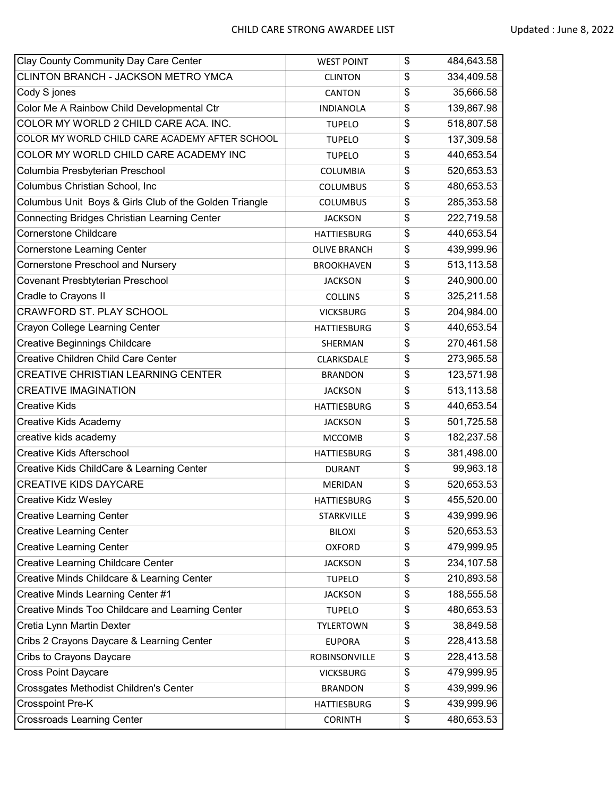| Clay County Community Day Care Center                  | <b>WEST POINT</b>   | \$<br>484,643.58 |
|--------------------------------------------------------|---------------------|------------------|
| CLINTON BRANCH - JACKSON METRO YMCA                    | <b>CLINTON</b>      | \$<br>334,409.58 |
| Cody S jones                                           | <b>CANTON</b>       | \$<br>35,666.58  |
| Color Me A Rainbow Child Developmental Ctr             | <b>INDIANOLA</b>    | \$<br>139,867.98 |
| COLOR MY WORLD 2 CHILD CARE ACA. INC.                  | <b>TUPELO</b>       | \$<br>518,807.58 |
| COLOR MY WORLD CHILD CARE ACADEMY AFTER SCHOOL         | <b>TUPELO</b>       | \$<br>137,309.58 |
| COLOR MY WORLD CHILD CARE ACADEMY INC                  | <b>TUPELO</b>       | \$<br>440,653.54 |
| Columbia Presbyterian Preschool                        | <b>COLUMBIA</b>     | \$<br>520,653.53 |
| Columbus Christian School, Inc                         | <b>COLUMBUS</b>     | \$<br>480,653.53 |
| Columbus Unit Boys & Girls Club of the Golden Triangle | <b>COLUMBUS</b>     | \$<br>285,353.58 |
| Connecting Bridges Christian Learning Center           | <b>JACKSON</b>      | \$<br>222,719.58 |
| Cornerstone Childcare                                  | <b>HATTIESBURG</b>  | \$<br>440,653.54 |
| Cornerstone Learning Center                            | <b>OLIVE BRANCH</b> | \$<br>439,999.96 |
| Cornerstone Preschool and Nursery                      | <b>BROOKHAVEN</b>   | \$<br>513,113.58 |
| Covenant Presbtyterian Preschool                       | <b>JACKSON</b>      | \$<br>240,900.00 |
| Cradle to Crayons II                                   | <b>COLLINS</b>      | \$<br>325,211.58 |
| <b>CRAWFORD ST. PLAY SCHOOL</b>                        | <b>VICKSBURG</b>    | \$<br>204,984.00 |
| Crayon College Learning Center                         | HATTIESBURG         | \$<br>440,653.54 |
| Creative Beginnings Childcare                          | SHERMAN             | \$<br>270,461.58 |
| Creative Children Child Care Center                    | CLARKSDALE          | \$<br>273,965.58 |
| CREATIVE CHRISTIAN LEARNING CENTER                     | <b>BRANDON</b>      | \$<br>123,571.98 |
| <b>CREATIVE IMAGINATION</b>                            | <b>JACKSON</b>      | \$<br>513,113.58 |
| <b>Creative Kids</b>                                   | <b>HATTIESBURG</b>  | \$<br>440,653.54 |
| Creative Kids Academy                                  | <b>JACKSON</b>      | \$<br>501,725.58 |
| creative kids academy                                  | <b>MCCOMB</b>       | \$<br>182,237.58 |
| <b>Creative Kids Afterschool</b>                       | <b>HATTIESBURG</b>  | \$<br>381,498.00 |
| Creative Kids ChildCare & Learning Center              | <b>DURANT</b>       | \$<br>99,963.18  |
| <b>CREATIVE KIDS DAYCARE</b>                           | <b>MERIDAN</b>      | \$<br>520,653.53 |
| Creative Kidz Wesley                                   | <b>HATTIESBURG</b>  | \$<br>455,520.00 |
| <b>Creative Learning Center</b>                        | STARKVILLE          | \$<br>439,999.96 |
| <b>Creative Learning Center</b>                        | <b>BILOXI</b>       | \$<br>520,653.53 |
| <b>Creative Learning Center</b>                        | <b>OXFORD</b>       | \$<br>479,999.95 |
| Creative Learning Childcare Center                     | <b>JACKSON</b>      | \$<br>234,107.58 |
| Creative Minds Childcare & Learning Center             | <b>TUPELO</b>       | \$<br>210,893.58 |
| Creative Minds Learning Center #1                      | <b>JACKSON</b>      | \$<br>188,555.58 |
| Creative Minds Too Childcare and Learning Center       | <b>TUPELO</b>       | \$<br>480,653.53 |
| Cretia Lynn Martin Dexter                              | <b>TYLERTOWN</b>    | \$<br>38,849.58  |
| Cribs 2 Crayons Daycare & Learning Center              | <b>EUPORA</b>       | \$<br>228,413.58 |
| Cribs to Crayons Daycare                               | ROBINSONVILLE       | \$<br>228,413.58 |
| <b>Cross Point Daycare</b>                             | <b>VICKSBURG</b>    | \$<br>479,999.95 |
| Crossgates Methodist Children's Center                 | <b>BRANDON</b>      | \$<br>439,999.96 |
| Crosspoint Pre-K                                       | <b>HATTIESBURG</b>  | \$<br>439,999.96 |
| Crossroads Learning Center                             | <b>CORINTH</b>      | \$<br>480,653.53 |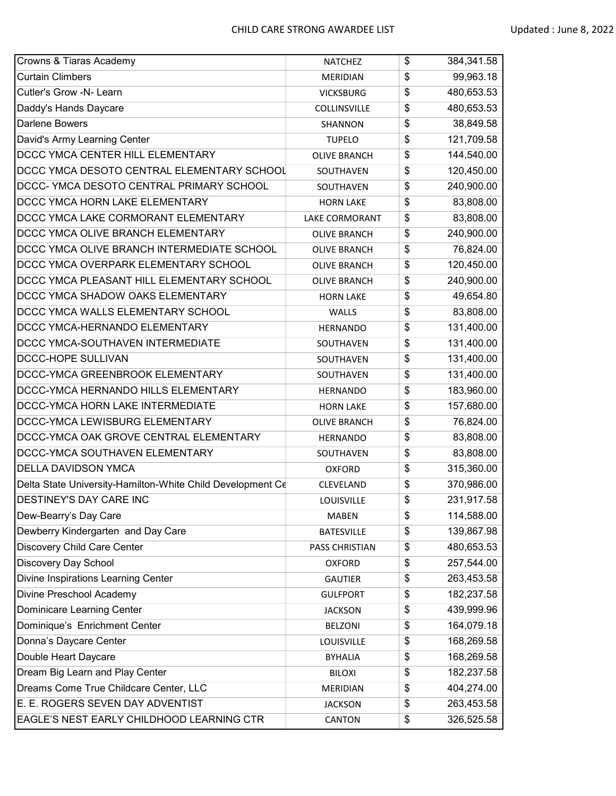| Crowns & Tiaras Academy                                    | <b>NATCHEZ</b>      | \$<br>384,341.58 |
|------------------------------------------------------------|---------------------|------------------|
| <b>Curtain Climbers</b>                                    | <b>MERIDIAN</b>     | \$<br>99,963.18  |
| Cutler's Grow -N- Learn                                    | <b>VICKSBURG</b>    | \$<br>480,653.53 |
| Daddy's Hands Daycare                                      | COLLINSVILLE        | \$<br>480,653.53 |
| <b>Darlene Bowers</b>                                      | SHANNON             | \$<br>38,849.58  |
| David's Army Learning Center                               | <b>TUPELO</b>       | \$<br>121,709.58 |
| DCCC YMCA CENTER HILL ELEMENTARY                           | <b>OLIVE BRANCH</b> | \$<br>144,540.00 |
| DCCC YMCA DESOTO CENTRAL ELEMENTARY SCHOOL                 | SOUTHAVEN           | \$<br>120,450.00 |
| DCCC- YMCA DESOTO CENTRAL PRIMARY SCHOOL                   | SOUTHAVEN           | \$<br>240,900.00 |
| DCCC YMCA HORN LAKE ELEMENTARY                             | <b>HORN LAKE</b>    | \$<br>83,808.00  |
| DCCC YMCA LAKE CORMORANT ELEMENTARY                        | LAKE CORMORANT      | \$<br>83,808.00  |
| DCCC YMCA OLIVE BRANCH ELEMENTARY                          | <b>OLIVE BRANCH</b> | \$<br>240,900.00 |
| DCCC YMCA OLIVE BRANCH INTERMEDIATE SCHOOL                 | <b>OLIVE BRANCH</b> | \$<br>76,824.00  |
| DCCC YMCA OVERPARK ELEMENTARY SCHOOL                       | <b>OLIVE BRANCH</b> | \$<br>120,450.00 |
| DCCC YMCA PLEASANT HILL ELEMENTARY SCHOOL                  | <b>OLIVE BRANCH</b> | \$<br>240,900.00 |
| DCCC YMCA SHADOW OAKS ELEMENTARY                           | <b>HORN LAKE</b>    | \$<br>49,654.80  |
| DCCC YMCA WALLS ELEMENTARY SCHOOL                          | WALLS               | \$<br>83,808.00  |
| DCCC YMCA-HERNANDO ELEMENTARY                              | <b>HERNANDO</b>     | \$<br>131,400.00 |
| DCCC YMCA-SOUTHAVEN INTERMEDIATE                           | SOUTHAVEN           | \$<br>131,400.00 |
| DCCC-HOPE SULLIVAN                                         | SOUTHAVEN           | \$<br>131,400.00 |
| DCCC-YMCA GREENBROOK ELEMENTARY                            | SOUTHAVEN           | \$<br>131,400.00 |
| DCCC-YMCA HERNANDO HILLS ELEMENTARY                        | <b>HERNANDO</b>     | \$<br>183,960.00 |
| DCCC-YMCA HORN LAKE INTERMEDIATE                           | <b>HORN LAKE</b>    | \$<br>157,680.00 |
| DCCC-YMCA LEWISBURG ELEMENTARY                             | <b>OLIVE BRANCH</b> | \$<br>76,824.00  |
| DCCC-YMCA OAK GROVE CENTRAL ELEMENTARY                     | <b>HERNANDO</b>     | \$<br>83,808.00  |
| DCCC-YMCA SOUTHAVEN ELEMENTARY                             | SOUTHAVEN           | \$<br>83,808.00  |
| <b>DELLA DAVIDSON YMCA</b>                                 | <b>OXFORD</b>       | \$<br>315,360.00 |
| Delta State University-Hamilton-White Child Development Ce | CLEVELAND           | \$<br>370,986.00 |
| DESTINEY'S DAY CARE INC                                    | <b>LOUISVILLE</b>   | \$<br>231,917.58 |
| Dew-Bearry's Day Care                                      | <b>MABEN</b>        | \$<br>114,588.00 |
| Dewberry Kindergarten and Day Care                         | <b>BATESVILLE</b>   | \$<br>139,867.98 |
| Discovery Child Care Center                                | PASS CHRISTIAN      | \$<br>480,653.53 |
| Discovery Day School                                       | <b>OXFORD</b>       | \$<br>257,544.00 |
| Divine Inspirations Learning Center                        | <b>GAUTIER</b>      | \$<br>263,453.58 |
| Divine Preschool Academy                                   | <b>GULFPORT</b>     | \$<br>182,237.58 |
| Dominicare Learning Center                                 | <b>JACKSON</b>      | \$<br>439,999.96 |
| Dominique's Enrichment Center                              | <b>BELZONI</b>      | \$<br>164,079.18 |
| Donna's Daycare Center                                     | LOUISVILLE          | \$<br>168,269.58 |
| Double Heart Daycare                                       | <b>BYHALIA</b>      | \$<br>168,269.58 |
| Dream Big Learn and Play Center                            | <b>BILOXI</b>       | \$<br>182,237.58 |
| Dreams Come True Childcare Center, LLC                     | MERIDIAN            | \$<br>404,274.00 |
| E. E. ROGERS SEVEN DAY ADVENTIST                           | <b>JACKSON</b>      | \$<br>263,453.58 |
| EAGLE'S NEST EARLY CHILDHOOD LEARNING CTR                  | CANTON              | \$<br>326,525.58 |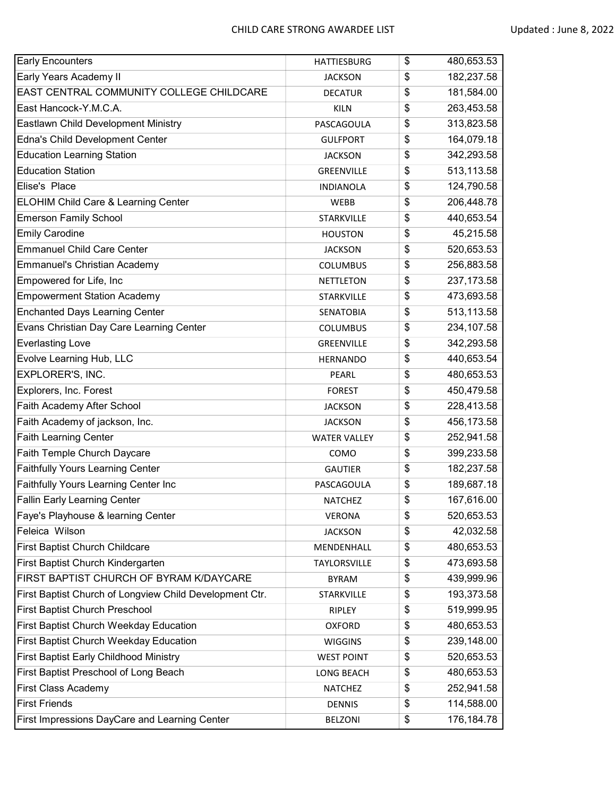| <b>Early Encounters</b>                                 | <b>HATTIESBURG</b>  | \$<br>480,653.53  |
|---------------------------------------------------------|---------------------|-------------------|
| Early Years Academy II                                  | <b>JACKSON</b>      | \$<br>182,237.58  |
| EAST CENTRAL COMMUNITY COLLEGE CHILDCARE                | <b>DECATUR</b>      | \$<br>181,584.00  |
| East Hancock-Y.M.C.A.                                   | <b>KILN</b>         | \$<br>263,453.58  |
| Eastlawn Child Development Ministry                     | PASCAGOULA          | \$<br>313,823.58  |
| Edna's Child Development Center                         | <b>GULFPORT</b>     | \$<br>164,079.18  |
| <b>Education Learning Station</b>                       | <b>JACKSON</b>      | \$<br>342,293.58  |
| <b>Education Station</b>                                | GREENVILLE          | \$<br>513,113.58  |
| Elise's Place                                           | <b>INDIANOLA</b>    | \$<br>124,790.58  |
| ELOHIM Child Care & Learning Center                     | <b>WEBB</b>         | \$<br>206,448.78  |
| <b>Emerson Family School</b>                            | <b>STARKVILLE</b>   | \$<br>440,653.54  |
| <b>Emily Carodine</b>                                   | <b>HOUSTON</b>      | \$<br>45,215.58   |
| <b>Emmanuel Child Care Center</b>                       | <b>JACKSON</b>      | \$<br>520,653.53  |
| <b>Emmanuel's Christian Academy</b>                     | <b>COLUMBUS</b>     | \$<br>256,883.58  |
| Empowered for Life, Inc                                 | <b>NETTLETON</b>    | \$<br>237, 173.58 |
| <b>Empowerment Station Academy</b>                      | <b>STARKVILLE</b>   | \$<br>473,693.58  |
| <b>Enchanted Days Learning Center</b>                   | <b>SENATOBIA</b>    | \$<br>513,113.58  |
| Evans Christian Day Care Learning Center                | <b>COLUMBUS</b>     | \$<br>234,107.58  |
| <b>Everlasting Love</b>                                 | GREENVILLE          | \$<br>342,293.58  |
| Evolve Learning Hub, LLC                                | <b>HERNANDO</b>     | \$<br>440,653.54  |
| EXPLORER'S, INC.                                        | PEARL               | \$<br>480,653.53  |
| Explorers, Inc. Forest                                  | <b>FOREST</b>       | \$<br>450,479.58  |
| Faith Academy After School                              | <b>JACKSON</b>      | \$<br>228,413.58  |
| Faith Academy of jackson, Inc.                          | <b>JACKSON</b>      | \$<br>456,173.58  |
| <b>Faith Learning Center</b>                            | <b>WATER VALLEY</b> | \$<br>252,941.58  |
| Faith Temple Church Daycare                             | COMO                | \$<br>399,233.58  |
| <b>Faithfully Yours Learning Center</b>                 | <b>GAUTIER</b>      | \$<br>182,237.58  |
| Faithfully Yours Learning Center Inc                    | PASCAGOULA          | \$<br>189,687.18  |
| <b>Fallin Early Learning Center</b>                     | <b>NATCHEZ</b>      | \$<br>167,616.00  |
| Faye's Playhouse & learning Center                      | <b>VERONA</b>       | \$<br>520,653.53  |
| Feleica Wilson                                          | <b>JACKSON</b>      | \$<br>42,032.58   |
| First Baptist Church Childcare                          | MENDENHALL          | \$<br>480,653.53  |
| First Baptist Church Kindergarten                       | TAYLORSVILLE        | \$<br>473,693.58  |
| FIRST BAPTIST CHURCH OF BYRAM K/DAYCARE                 | <b>BYRAM</b>        | \$<br>439,999.96  |
| First Baptist Church of Longview Child Development Ctr. | STARKVILLE          | \$<br>193,373.58  |
| <b>First Baptist Church Preschool</b>                   | <b>RIPLEY</b>       | \$<br>519,999.95  |
| <b>First Baptist Church Weekday Education</b>           | <b>OXFORD</b>       | \$<br>480,653.53  |
| First Baptist Church Weekday Education                  | <b>WIGGINS</b>      | \$<br>239,148.00  |
| <b>First Baptist Early Childhood Ministry</b>           | <b>WEST POINT</b>   | \$<br>520,653.53  |
| First Baptist Preschool of Long Beach                   | LONG BEACH          | \$<br>480,653.53  |
| First Class Academy                                     | NATCHEZ             | \$<br>252,941.58  |
| <b>First Friends</b>                                    | <b>DENNIS</b>       | \$<br>114,588.00  |
| First Impressions DayCare and Learning Center           | <b>BELZONI</b>      | \$<br>176,184.78  |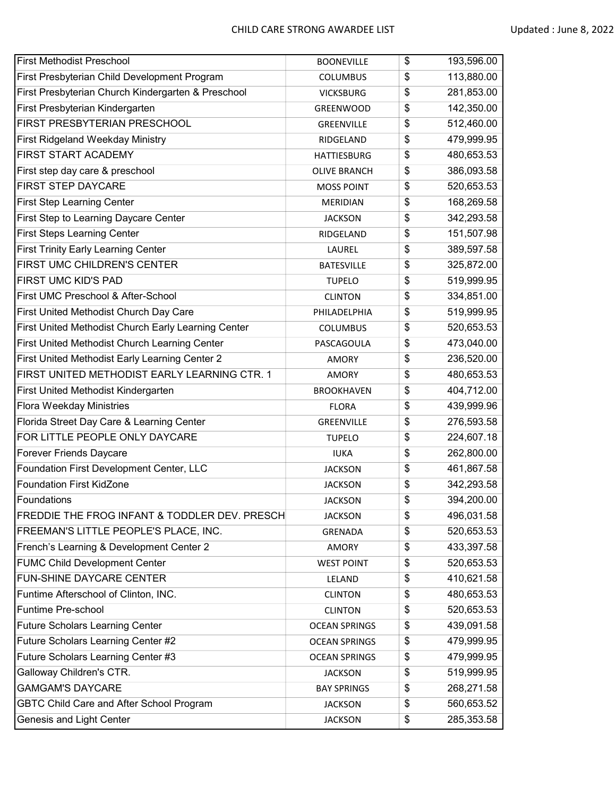| <b>First Methodist Preschool</b>                    | <b>BOONEVILLE</b>    | \$<br>193,596.00 |
|-----------------------------------------------------|----------------------|------------------|
| First Presbyterian Child Development Program        | <b>COLUMBUS</b>      | \$<br>113,880.00 |
| First Presbyterian Church Kindergarten & Preschool  | <b>VICKSBURG</b>     | \$<br>281,853.00 |
| First Presbyterian Kindergarten                     | GREENWOOD            | \$<br>142,350.00 |
| FIRST PRESBYTERIAN PRESCHOOL                        | GREENVILLE           | \$<br>512,460.00 |
| <b>First Ridgeland Weekday Ministry</b>             | RIDGELAND            | \$<br>479,999.95 |
| FIRST START ACADEMY                                 | <b>HATTIESBURG</b>   | \$<br>480,653.53 |
| First step day care & preschool                     | <b>OLIVE BRANCH</b>  | \$<br>386,093.58 |
| <b>FIRST STEP DAYCARE</b>                           | <b>MOSS POINT</b>    | \$<br>520,653.53 |
| <b>First Step Learning Center</b>                   | <b>MERIDIAN</b>      | \$<br>168,269.58 |
| First Step to Learning Daycare Center               | <b>JACKSON</b>       | \$<br>342,293.58 |
| <b>First Steps Learning Center</b>                  | RIDGELAND            | \$<br>151,507.98 |
| <b>First Trinity Early Learning Center</b>          | LAUREL               | \$<br>389,597.58 |
| FIRST UMC CHILDREN'S CENTER                         | <b>BATESVILLE</b>    | \$<br>325,872.00 |
| <b>FIRST UMC KID'S PAD</b>                          | <b>TUPELO</b>        | \$<br>519,999.95 |
| First UMC Preschool & After-School                  | <b>CLINTON</b>       | \$<br>334,851.00 |
| First United Methodist Church Day Care              | PHILADELPHIA         | \$<br>519,999.95 |
| First United Methodist Church Early Learning Center | <b>COLUMBUS</b>      | \$<br>520,653.53 |
| First United Methodist Church Learning Center       | PASCAGOULA           | \$<br>473,040.00 |
| First United Methodist Early Learning Center 2      | <b>AMORY</b>         | \$<br>236,520.00 |
| FIRST UNITED METHODIST EARLY LEARNING CTR. 1        | <b>AMORY</b>         | \$<br>480,653.53 |
| First United Methodist Kindergarten                 | <b>BROOKHAVEN</b>    | \$<br>404,712.00 |
| Flora Weekday Ministries                            | <b>FLORA</b>         | \$<br>439,999.96 |
| Florida Street Day Care & Learning Center           | GREENVILLE           | \$<br>276,593.58 |
| FOR LITTLE PEOPLE ONLY DAYCARE                      | <b>TUPELO</b>        | \$<br>224,607.18 |
| <b>Forever Friends Daycare</b>                      | <b>IUKA</b>          | \$<br>262,800.00 |
| Foundation First Development Center, LLC            | <b>JACKSON</b>       | \$<br>461,867.58 |
| <b>Foundation First KidZone</b>                     | <b>JACKSON</b>       | \$<br>342,293.58 |
| Foundations                                         | <b>JACKSON</b>       | \$<br>394,200.00 |
| FREDDIE THE FROG INFANT & TODDLER DEV. PRESCH       | <b>JACKSON</b>       | \$<br>496,031.58 |
| FREEMAN'S LITTLE PEOPLE'S PLACE, INC.               | GRENADA              | \$<br>520,653.53 |
| French's Learning & Development Center 2            | <b>AMORY</b>         | \$<br>433,397.58 |
| <b>FUMC Child Development Center</b>                | <b>WEST POINT</b>    | \$<br>520,653.53 |
| FUN-SHINE DAYCARE CENTER                            | LELAND               | \$<br>410,621.58 |
| Funtime Afterschool of Clinton, INC.                | <b>CLINTON</b>       | \$<br>480,653.53 |
| Funtime Pre-school                                  | <b>CLINTON</b>       | \$<br>520,653.53 |
| <b>Future Scholars Learning Center</b>              | <b>OCEAN SPRINGS</b> | \$<br>439,091.58 |
| Future Scholars Learning Center #2                  | <b>OCEAN SPRINGS</b> | \$<br>479,999.95 |
| Future Scholars Learning Center #3                  | <b>OCEAN SPRINGS</b> | \$<br>479,999.95 |
| Galloway Children's CTR.                            | <b>JACKSON</b>       | \$<br>519,999.95 |
| <b>GAMGAM'S DAYCARE</b>                             | <b>BAY SPRINGS</b>   | \$<br>268,271.58 |
| GBTC Child Care and After School Program            | <b>JACKSON</b>       | \$<br>560,653.52 |
| Genesis and Light Center                            | <b>JACKSON</b>       | \$<br>285,353.58 |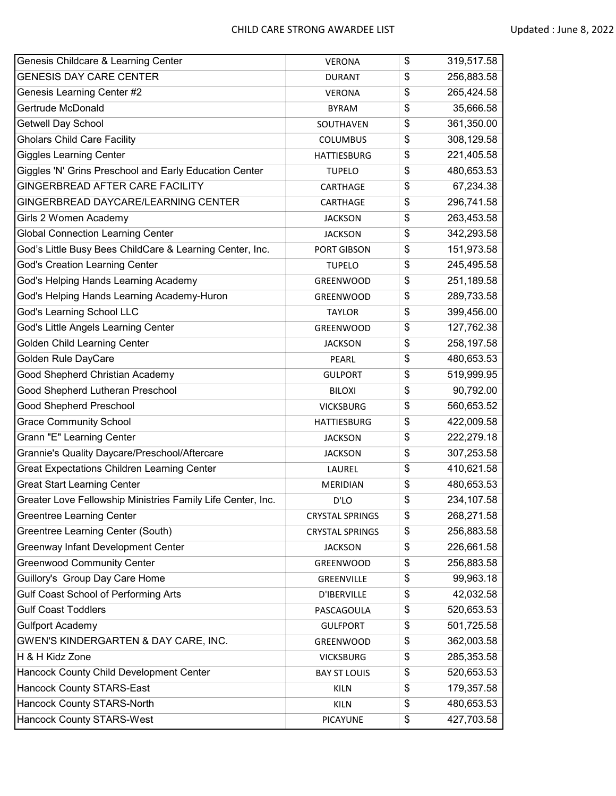| Genesis Childcare & Learning Center                         | <b>VERONA</b>          | \$<br>319,517.58 |
|-------------------------------------------------------------|------------------------|------------------|
| <b>GENESIS DAY CARE CENTER</b>                              | <b>DURANT</b>          | \$<br>256,883.58 |
| Genesis Learning Center #2                                  | <b>VERONA</b>          | \$<br>265,424.58 |
| Gertrude McDonald                                           | <b>BYRAM</b>           | \$<br>35,666.58  |
| <b>Getwell Day School</b>                                   | SOUTHAVEN              | \$<br>361,350.00 |
| <b>Gholars Child Care Facility</b>                          | <b>COLUMBUS</b>        | \$<br>308,129.58 |
| <b>Giggles Learning Center</b>                              | <b>HATTIESBURG</b>     | \$<br>221,405.58 |
| Giggles 'N' Grins Preschool and Early Education Center      | <b>TUPELO</b>          | \$<br>480,653.53 |
| GINGERBREAD AFTER CARE FACILITY                             | CARTHAGE               | \$<br>67,234.38  |
| GINGERBREAD DAYCARE/LEARNING CENTER                         | CARTHAGE               | \$<br>296,741.58 |
| Girls 2 Women Academy                                       | <b>JACKSON</b>         | \$<br>263,453.58 |
| <b>Global Connection Learning Center</b>                    | <b>JACKSON</b>         | \$<br>342,293.58 |
| God's Little Busy Bees ChildCare & Learning Center, Inc.    | PORT GIBSON            | \$<br>151,973.58 |
| <b>God's Creation Learning Center</b>                       | <b>TUPELO</b>          | \$<br>245,495.58 |
| God's Helping Hands Learning Academy                        | <b>GREENWOOD</b>       | \$<br>251,189.58 |
| God's Helping Hands Learning Academy-Huron                  | GREENWOOD              | \$<br>289,733.58 |
| God's Learning School LLC                                   | <b>TAYLOR</b>          | \$<br>399,456.00 |
| God's Little Angels Learning Center                         | <b>GREENWOOD</b>       | \$<br>127,762.38 |
| <b>Golden Child Learning Center</b>                         | <b>JACKSON</b>         | \$<br>258,197.58 |
| Golden Rule DayCare                                         | PEARL                  | \$<br>480,653.53 |
| Good Shepherd Christian Academy                             | <b>GULPORT</b>         | \$<br>519,999.95 |
| Good Shepherd Lutheran Preschool                            | <b>BILOXI</b>          | \$<br>90,792.00  |
| Good Shepherd Preschool                                     | <b>VICKSBURG</b>       | \$<br>560,653.52 |
| <b>Grace Community School</b>                               | <b>HATTIESBURG</b>     | \$<br>422,009.58 |
| Grann "E" Learning Center                                   | <b>JACKSON</b>         | \$<br>222,279.18 |
| Grannie's Quality Daycare/Preschool/Aftercare               | <b>JACKSON</b>         | \$<br>307,253.58 |
| <b>Great Expectations Children Learning Center</b>          | LAUREL                 | \$<br>410,621.58 |
| <b>Great Start Learning Center</b>                          | <b>MERIDIAN</b>        | \$<br>480,653.53 |
| Greater Love Fellowship Ministries Family Life Center, Inc. | D'LO                   | \$<br>234,107.58 |
| <b>Greentree Learning Center</b>                            | <b>CRYSTAL SPRINGS</b> | \$<br>268,271.58 |
| Greentree Learning Center (South)                           | <b>CRYSTAL SPRINGS</b> | \$<br>256,883.58 |
| Greenway Infant Development Center                          | <b>JACKSON</b>         | \$<br>226,661.58 |
| <b>Greenwood Community Center</b>                           | GREENWOOD              | \$<br>256,883.58 |
| Guillory's Group Day Care Home                              | GREENVILLE             | \$<br>99,963.18  |
| Gulf Coast School of Performing Arts                        | D'IBERVILLE            | \$<br>42,032.58  |
| <b>Gulf Coast Toddlers</b>                                  | PASCAGOULA             | \$<br>520,653.53 |
| <b>Gulfport Academy</b>                                     | <b>GULFPORT</b>        | \$<br>501,725.58 |
| GWEN'S KINDERGARTEN & DAY CARE, INC.                        | GREENWOOD              | \$<br>362,003.58 |
| H & H Kidz Zone                                             | <b>VICKSBURG</b>       | \$<br>285,353.58 |
| Hancock County Child Development Center                     | <b>BAY ST LOUIS</b>    | \$<br>520,653.53 |
| <b>Hancock County STARS-East</b>                            | <b>KILN</b>            | \$<br>179,357.58 |
| <b>Hancock County STARS-North</b>                           | <b>KILN</b>            | \$<br>480,653.53 |
| <b>Hancock County STARS-West</b>                            | PICAYUNE               | \$<br>427,703.58 |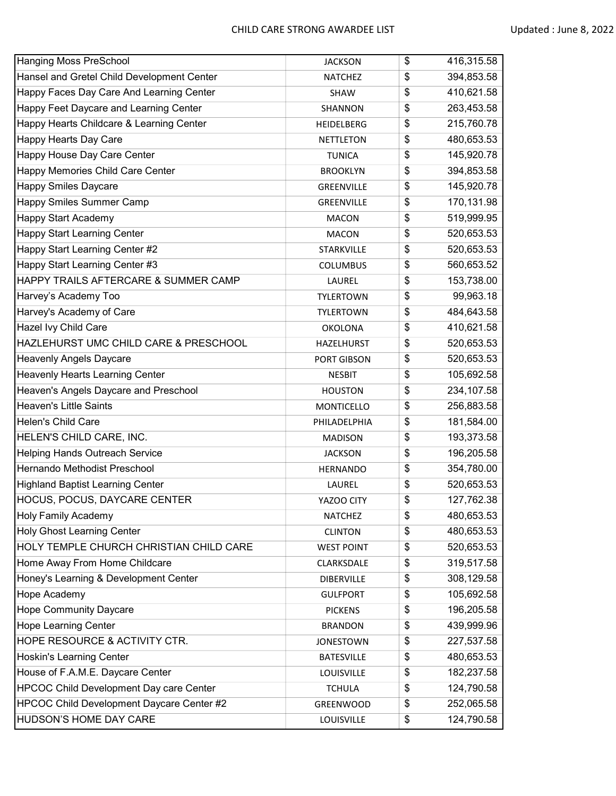| <b>Hanging Moss PreSchool</b>                  | <b>JACKSON</b>    | \$<br>416,315.58 |
|------------------------------------------------|-------------------|------------------|
| Hansel and Gretel Child Development Center     | <b>NATCHEZ</b>    | \$<br>394,853.58 |
| Happy Faces Day Care And Learning Center       | <b>SHAW</b>       | \$<br>410,621.58 |
| Happy Feet Daycare and Learning Center         | SHANNON           | \$<br>263,453.58 |
| Happy Hearts Childcare & Learning Center       | <b>HEIDELBERG</b> | \$<br>215,760.78 |
| Happy Hearts Day Care                          | <b>NETTLETON</b>  | \$<br>480,653.53 |
| Happy House Day Care Center                    | <b>TUNICA</b>     | \$<br>145,920.78 |
| Happy Memories Child Care Center               | <b>BROOKLYN</b>   | \$<br>394,853.58 |
| <b>Happy Smiles Daycare</b>                    | <b>GREENVILLE</b> | \$<br>145,920.78 |
| Happy Smiles Summer Camp                       | GREENVILLE        | \$<br>170,131.98 |
| <b>Happy Start Academy</b>                     | <b>MACON</b>      | \$<br>519,999.95 |
| <b>Happy Start Learning Center</b>             | <b>MACON</b>      | \$<br>520,653.53 |
| Happy Start Learning Center #2                 | STARKVILLE        | \$<br>520,653.53 |
| Happy Start Learning Center #3                 | <b>COLUMBUS</b>   | \$<br>560,653.52 |
| HAPPY TRAILS AFTERCARE & SUMMER CAMP           | LAUREL            | \$<br>153,738.00 |
| Harvey's Academy Too                           | <b>TYLERTOWN</b>  | \$<br>99,963.18  |
| Harvey's Academy of Care                       | <b>TYLERTOWN</b>  | \$<br>484,643.58 |
| Hazel Ivy Child Care                           | <b>OKOLONA</b>    | \$<br>410,621.58 |
| HAZLEHURST UMC CHILD CARE & PRESCHOOL          | HAZELHURST        | \$<br>520,653.53 |
| Heavenly Angels Daycare                        | PORT GIBSON       | \$<br>520,653.53 |
| <b>Heavenly Hearts Learning Center</b>         | <b>NESBIT</b>     | \$<br>105,692.58 |
| Heaven's Angels Daycare and Preschool          | <b>HOUSTON</b>    | \$<br>234,107.58 |
| <b>Heaven's Little Saints</b>                  | <b>MONTICELLO</b> | \$<br>256,883.58 |
| Helen's Child Care                             | PHILADELPHIA      | \$<br>181,584.00 |
| HELEN'S CHILD CARE, INC.                       | <b>MADISON</b>    | \$<br>193,373.58 |
| <b>Helping Hands Outreach Service</b>          | <b>JACKSON</b>    | \$<br>196,205.58 |
| Hernando Methodist Preschool                   | <b>HERNANDO</b>   | \$<br>354,780.00 |
| <b>Highland Baptist Learning Center</b>        | LAUREL            | \$<br>520,653.53 |
| HOCUS, POCUS, DAYCARE CENTER                   | YAZOO CITY        | \$<br>127,762.38 |
| <b>Holy Family Academy</b>                     | <b>NATCHEZ</b>    | \$<br>480,653.53 |
| <b>Holy Ghost Learning Center</b>              | <b>CLINTON</b>    | \$<br>480,653.53 |
| HOLY TEMPLE CHURCH CHRISTIAN CHILD CARE        | <b>WEST POINT</b> | \$<br>520,653.53 |
| Home Away From Home Childcare                  | CLARKSDALE        | \$<br>319,517.58 |
| Honey's Learning & Development Center          | <b>DIBERVILLE</b> | \$<br>308,129.58 |
| Hope Academy                                   | <b>GULFPORT</b>   | \$<br>105,692.58 |
| <b>Hope Community Daycare</b>                  | <b>PICKENS</b>    | \$<br>196,205.58 |
| <b>Hope Learning Center</b>                    | <b>BRANDON</b>    | \$<br>439,999.96 |
| HOPE RESOURCE & ACTIVITY CTR.                  | <b>JONESTOWN</b>  | \$<br>227,537.58 |
| Hoskin's Learning Center                       | <b>BATESVILLE</b> | \$<br>480,653.53 |
| House of F.A.M.E. Daycare Center               | LOUISVILLE        | \$<br>182,237.58 |
| <b>HPCOC Child Development Day care Center</b> | <b>TCHULA</b>     | \$<br>124,790.58 |
| HPCOC Child Development Daycare Center #2      | GREENWOOD         | \$<br>252,065.58 |
| HUDSON'S HOME DAY CARE                         | LOUISVILLE        | \$<br>124,790.58 |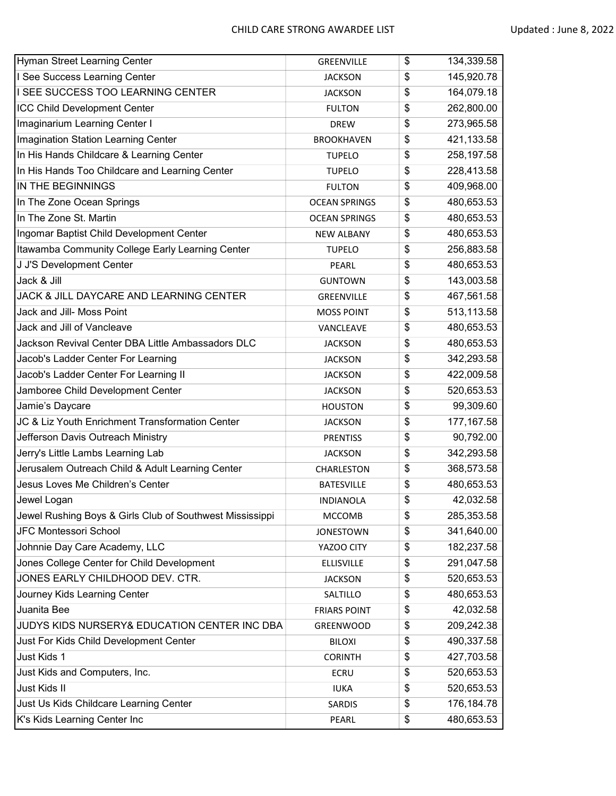| Hyman Street Learning Center                             | GREENVILLE           | \$<br>134,339.58  |
|----------------------------------------------------------|----------------------|-------------------|
| I See Success Learning Center                            | <b>JACKSON</b>       | \$<br>145,920.78  |
| <b>I SEE SUCCESS TOO LEARNING CENTER</b>                 | <b>JACKSON</b>       | \$<br>164,079.18  |
| <b>ICC Child Development Center</b>                      | <b>FULTON</b>        | \$<br>262,800.00  |
| Imaginarium Learning Center I                            | <b>DREW</b>          | \$<br>273,965.58  |
| Imagination Station Learning Center                      | <b>BROOKHAVEN</b>    | \$<br>421,133.58  |
| In His Hands Childcare & Learning Center                 | <b>TUPELO</b>        | \$<br>258,197.58  |
| In His Hands Too Childcare and Learning Center           | <b>TUPELO</b>        | \$<br>228,413.58  |
| IN THE BEGINNINGS                                        | <b>FULTON</b>        | \$<br>409,968.00  |
| In The Zone Ocean Springs                                | <b>OCEAN SPRINGS</b> | \$<br>480,653.53  |
| In The Zone St. Martin                                   | <b>OCEAN SPRINGS</b> | \$<br>480,653.53  |
| Ingomar Baptist Child Development Center                 | <b>NEW ALBANY</b>    | \$<br>480,653.53  |
| Itawamba Community College Early Learning Center         | <b>TUPELO</b>        | \$<br>256,883.58  |
| J J'S Development Center                                 | PEARL                | \$<br>480,653.53  |
| Jack & Jill                                              | <b>GUNTOWN</b>       | \$<br>143,003.58  |
| <b>JACK &amp; JILL DAYCARE AND LEARNING CENTER</b>       | <b>GREENVILLE</b>    | \$<br>467,561.58  |
| Jack and Jill- Moss Point                                | <b>MOSS POINT</b>    | \$<br>513,113.58  |
| Jack and Jill of Vancleave                               | VANCLEAVE            | \$<br>480,653.53  |
| Jackson Revival Center DBA Little Ambassadors DLC        | <b>JACKSON</b>       | \$<br>480,653.53  |
| Jacob's Ladder Center For Learning                       | <b>JACKSON</b>       | \$<br>342,293.58  |
| Jacob's Ladder Center For Learning II                    | <b>JACKSON</b>       | \$<br>422,009.58  |
| Jamboree Child Development Center                        | <b>JACKSON</b>       | \$<br>520,653.53  |
| Jamie's Daycare                                          | <b>HOUSTON</b>       | \$<br>99,309.60   |
| JC & Liz Youth Enrichment Transformation Center          | <b>JACKSON</b>       | \$<br>177, 167.58 |
| Jefferson Davis Outreach Ministry                        | <b>PRENTISS</b>      | \$<br>90,792.00   |
| Jerry's Little Lambs Learning Lab                        | <b>JACKSON</b>       | \$<br>342,293.58  |
| Jerusalem Outreach Child & Adult Learning Center         | CHARLESTON           | \$<br>368,573.58  |
| Jesus Loves Me Children's Center                         | <b>BATESVILLE</b>    | \$<br>480,653.53  |
| Jewel Logan                                              | <b>INDIANOLA</b>     | \$<br>42,032.58   |
| Jewel Rushing Boys & Girls Club of Southwest Mississippi | <b>MCCOMB</b>        | \$<br>285,353.58  |
| JFC Montessori School                                    | <b>JONESTOWN</b>     | \$<br>341,640.00  |
| Johnnie Day Care Academy, LLC                            | YAZOO CITY           | \$<br>182,237.58  |
| Jones College Center for Child Development               | <b>ELLISVILLE</b>    | \$<br>291,047.58  |
| JONES EARLY CHILDHOOD DEV. CTR.                          | <b>JACKSON</b>       | \$<br>520,653.53  |
| Journey Kids Learning Center                             | SALTILLO             | \$<br>480,653.53  |
| Juanita Bee                                              | <b>FRIARS POINT</b>  | \$<br>42,032.58   |
| JUDYS KIDS NURSERY& EDUCATION CENTER INC DBA             | GREENWOOD            | \$<br>209,242.38  |
| Just For Kids Child Development Center                   | <b>BILOXI</b>        | \$<br>490,337.58  |
| Just Kids 1                                              | <b>CORINTH</b>       | \$<br>427,703.58  |
| Just Kids and Computers, Inc.                            | <b>ECRU</b>          | \$<br>520,653.53  |
| Just Kids II                                             | <b>IUKA</b>          | \$<br>520,653.53  |
| Just Us Kids Childcare Learning Center                   | SARDIS               | \$<br>176,184.78  |
| K's Kids Learning Center Inc                             | PEARL                | \$<br>480,653.53  |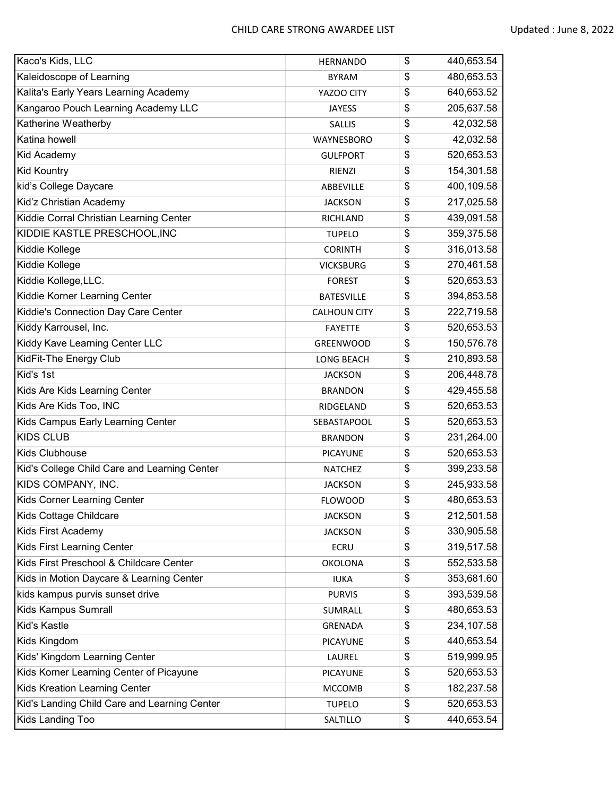| Kaco's Kids, LLC                             | <b>HERNANDO</b>     | \$<br>440,653.54 |
|----------------------------------------------|---------------------|------------------|
| Kaleidoscope of Learning                     | <b>BYRAM</b>        | \$<br>480,653.53 |
| Kalita's Early Years Learning Academy        | YAZOO CITY          | \$<br>640,653.52 |
| Kangaroo Pouch Learning Academy LLC          | <b>JAYESS</b>       | \$<br>205,637.58 |
| Katherine Weatherby                          | <b>SALLIS</b>       | \$<br>42,032.58  |
| Katina howell                                | WAYNESBORO          | \$<br>42,032.58  |
| Kid Academy                                  | <b>GULFPORT</b>     | \$<br>520,653.53 |
| <b>Kid Kountry</b>                           | RIENZI              | \$<br>154,301.58 |
| kid's College Daycare                        | ABBEVILLE           | \$<br>400,109.58 |
| Kid'z Christian Academy                      | <b>JACKSON</b>      | \$<br>217,025.58 |
| Kiddie Corral Christian Learning Center      | RICHLAND            | \$<br>439,091.58 |
| KIDDIE KASTLE PRESCHOOL, INC                 | <b>TUPELO</b>       | \$<br>359,375.58 |
| Kiddie Kollege                               | <b>CORINTH</b>      | \$<br>316,013.58 |
| Kiddie Kollege                               | <b>VICKSBURG</b>    | \$<br>270,461.58 |
| Kiddie Kollege, LLC.                         | <b>FOREST</b>       | \$<br>520,653.53 |
| Kiddie Korner Learning Center                | <b>BATESVILLE</b>   | \$<br>394,853.58 |
| Kiddie's Connection Day Care Center          | <b>CALHOUN CITY</b> | \$<br>222,719.58 |
| Kiddy Karrousel, Inc.                        | <b>FAYETTE</b>      | \$<br>520,653.53 |
| Kiddy Kave Learning Center LLC               | GREENWOOD           | \$<br>150,576.78 |
| KidFit-The Energy Club                       | LONG BEACH          | \$<br>210,893.58 |
| Kid's 1st                                    | <b>JACKSON</b>      | \$<br>206,448.78 |
| Kids Are Kids Learning Center                | <b>BRANDON</b>      | \$<br>429,455.58 |
| Kids Are Kids Too, INC                       | RIDGELAND           | \$<br>520,653.53 |
| Kids Campus Early Learning Center            | SEBASTAPOOL         | \$<br>520,653.53 |
| <b>KIDS CLUB</b>                             | <b>BRANDON</b>      | \$<br>231,264.00 |
| Kids Clubhouse                               | <b>PICAYUNE</b>     | \$<br>520,653.53 |
| Kid's College Child Care and Learning Center | <b>NATCHEZ</b>      | \$<br>399,233.58 |
| KIDS COMPANY, INC.                           | <b>JACKSON</b>      | \$<br>245,933.58 |
| Kids Corner Learning Center                  | <b>FLOWOOD</b>      | \$<br>480,653.53 |
| Kids Cottage Childcare                       | <b>JACKSON</b>      | \$<br>212,501.58 |
| Kids First Academy                           | <b>JACKSON</b>      | \$<br>330,905.58 |
| Kids First Learning Center                   | <b>ECRU</b>         | \$<br>319,517.58 |
| Kids First Preschool & Childcare Center      | <b>OKOLONA</b>      | \$<br>552,533.58 |
| Kids in Motion Daycare & Learning Center     | <b>IUKA</b>         | \$<br>353,681.60 |
| kids kampus purvis sunset drive              | <b>PURVIS</b>       | \$<br>393,539.58 |
| Kids Kampus Sumrall                          | SUMRALL             | \$<br>480,653.53 |
| Kid's Kastle                                 | GRENADA             | \$<br>234,107.58 |
| Kids Kingdom                                 | <b>PICAYUNE</b>     | \$<br>440,653.54 |
| Kids' Kingdom Learning Center                | LAUREL              | \$<br>519,999.95 |
| Kids Korner Learning Center of Picayune      | <b>PICAYUNE</b>     | \$<br>520,653.53 |
| Kids Kreation Learning Center                | <b>MCCOMB</b>       | \$<br>182,237.58 |
| Kid's Landing Child Care and Learning Center | <b>TUPELO</b>       | \$<br>520,653.53 |
| Kids Landing Too                             | SALTILLO            | \$<br>440,653.54 |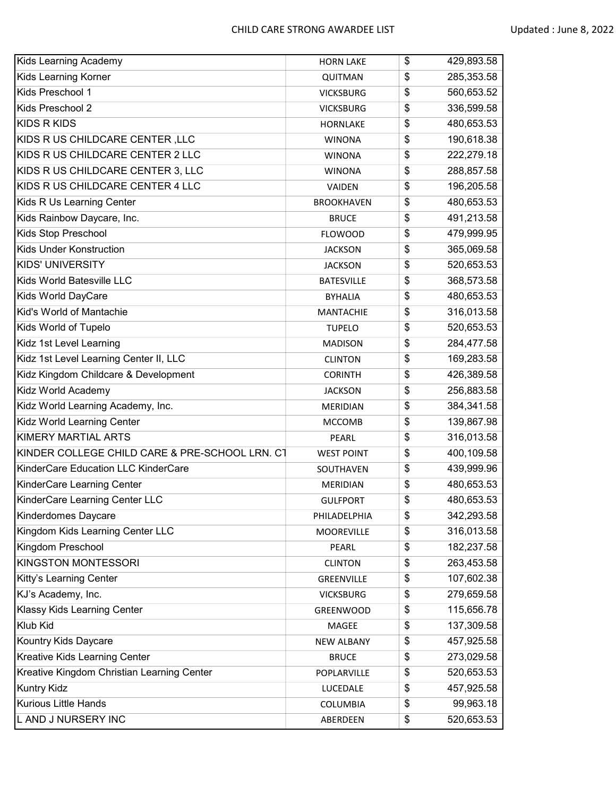| Kids Learning Academy                          | <b>HORN LAKE</b>  | \$<br>429,893.58 |
|------------------------------------------------|-------------------|------------------|
| <b>Kids Learning Korner</b>                    | <b>QUITMAN</b>    | \$<br>285,353.58 |
| Kids Preschool 1                               | <b>VICKSBURG</b>  | \$<br>560,653.52 |
| Kids Preschool 2                               | <b>VICKSBURG</b>  | \$<br>336,599.58 |
| <b>KIDS R KIDS</b>                             | <b>HORNLAKE</b>   | \$<br>480,653.53 |
| KIDS RUS CHILDCARE CENTER, LLC                 | <b>WINONA</b>     | \$<br>190,618.38 |
| KIDS RUS CHILDCARE CENTER 2 LLC                | <b>WINONA</b>     | \$<br>222,279.18 |
| KIDS R US CHILDCARE CENTER 3, LLC              | <b>WINONA</b>     | \$<br>288,857.58 |
| KIDS R US CHILDCARE CENTER 4 LLC               | VAIDEN            | \$<br>196,205.58 |
| Kids R Us Learning Center                      | <b>BROOKHAVEN</b> | \$<br>480,653.53 |
| Kids Rainbow Daycare, Inc.                     | <b>BRUCE</b>      | \$<br>491,213.58 |
| Kids Stop Preschool                            | <b>FLOWOOD</b>    | \$<br>479,999.95 |
| Kids Under Konstruction                        | <b>JACKSON</b>    | \$<br>365,069.58 |
| <b>KIDS' UNIVERSITY</b>                        | <b>JACKSON</b>    | \$<br>520,653.53 |
| Kids World Batesville LLC                      | <b>BATESVILLE</b> | \$<br>368,573.58 |
| Kids World DayCare                             | <b>BYHALIA</b>    | \$<br>480,653.53 |
| Kid's World of Mantachie                       | <b>MANTACHIE</b>  | \$<br>316,013.58 |
| Kids World of Tupelo                           | <b>TUPELO</b>     | \$<br>520,653.53 |
| Kidz 1st Level Learning                        | <b>MADISON</b>    | \$<br>284,477.58 |
| Kidz 1st Level Learning Center II, LLC         | <b>CLINTON</b>    | \$<br>169,283.58 |
| Kidz Kingdom Childcare & Development           | <b>CORINTH</b>    | \$<br>426,389.58 |
| Kidz World Academy                             | <b>JACKSON</b>    | \$<br>256,883.58 |
| Kidz World Learning Academy, Inc.              | MERIDIAN          | \$<br>384,341.58 |
| Kidz World Learning Center                     | <b>MCCOMB</b>     | \$<br>139,867.98 |
| <b>KIMERY MARTIAL ARTS</b>                     | PEARL             | \$<br>316,013.58 |
| KINDER COLLEGE CHILD CARE & PRE-SCHOOL LRN. C1 | <b>WEST POINT</b> | \$<br>400,109.58 |
| KinderCare Education LLC KinderCare            | SOUTHAVEN         | \$<br>439,999.96 |
| KinderCare Learning Center                     | MERIDIAN          | \$<br>480,653.53 |
| KinderCare Learning Center LLC                 | <b>GULFPORT</b>   | \$<br>480,653.53 |
| Kinderdomes Daycare                            | PHILADELPHIA      | \$<br>342,293.58 |
| Kingdom Kids Learning Center LLC               | MOOREVILLE        | \$<br>316,013.58 |
| Kingdom Preschool                              | PEARL             | \$<br>182,237.58 |
| KINGSTON MONTESSORI                            | <b>CLINTON</b>    | \$<br>263,453.58 |
| Kitty's Learning Center                        | GREENVILLE        | \$<br>107,602.38 |
| KJ's Academy, Inc.                             | <b>VICKSBURG</b>  | \$<br>279,659.58 |
| Klassy Kids Learning Center                    | GREENWOOD         | \$<br>115,656.78 |
| Klub Kid                                       | MAGEE             | \$<br>137,309.58 |
| Kountry Kids Daycare                           | <b>NEW ALBANY</b> | \$<br>457,925.58 |
| Kreative Kids Learning Center                  | <b>BRUCE</b>      | \$<br>273,029.58 |
| Kreative Kingdom Christian Learning Center     | POPLARVILLE       | \$<br>520,653.53 |
| <b>Kuntry Kidz</b>                             | LUCEDALE          | \$<br>457,925.58 |
| <b>Kurious Little Hands</b>                    | COLUMBIA          | \$<br>99,963.18  |
| L AND J NURSERY INC                            | ABERDEEN          | \$<br>520,653.53 |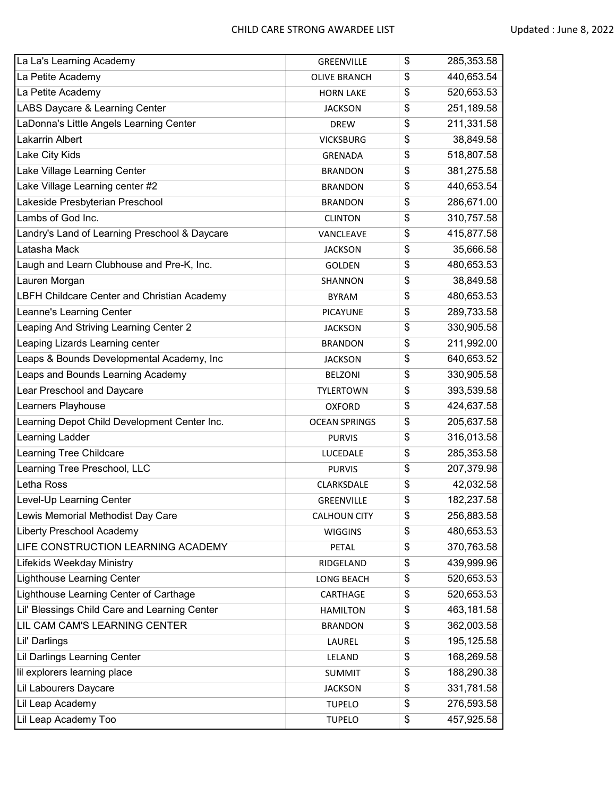| La La's Learning Academy                      | GREENVILLE           | \$<br>285,353.58 |
|-----------------------------------------------|----------------------|------------------|
| La Petite Academy                             | <b>OLIVE BRANCH</b>  | \$<br>440,653.54 |
| La Petite Academy                             | <b>HORN LAKE</b>     | \$<br>520,653.53 |
| LABS Daycare & Learning Center                | <b>JACKSON</b>       | \$<br>251,189.58 |
| LaDonna's Little Angels Learning Center       | <b>DREW</b>          | \$<br>211,331.58 |
| Lakarrin Albert                               | <b>VICKSBURG</b>     | \$<br>38,849.58  |
| Lake City Kids                                | GRENADA              | \$<br>518,807.58 |
| Lake Village Learning Center                  | <b>BRANDON</b>       | \$<br>381,275.58 |
| Lake Village Learning center #2               | <b>BRANDON</b>       | \$<br>440,653.54 |
| Lakeside Presbyterian Preschool               | <b>BRANDON</b>       | \$<br>286,671.00 |
| Lambs of God Inc.                             | <b>CLINTON</b>       | \$<br>310,757.58 |
| Landry's Land of Learning Preschool & Daycare | VANCLEAVE            | \$<br>415,877.58 |
| Latasha Mack                                  | <b>JACKSON</b>       | \$<br>35,666.58  |
| Laugh and Learn Clubhouse and Pre-K, Inc.     | <b>GOLDEN</b>        | \$<br>480,653.53 |
| Lauren Morgan                                 | SHANNON              | \$<br>38,849.58  |
| LBFH Childcare Center and Christian Academy   | <b>BYRAM</b>         | \$<br>480,653.53 |
| Leanne's Learning Center                      | <b>PICAYUNE</b>      | \$<br>289,733.58 |
| Leaping And Striving Learning Center 2        | <b>JACKSON</b>       | \$<br>330,905.58 |
| Leaping Lizards Learning center               | <b>BRANDON</b>       | \$<br>211,992.00 |
| Leaps & Bounds Developmental Academy, Inc     | <b>JACKSON</b>       | \$<br>640,653.52 |
| Leaps and Bounds Learning Academy             | <b>BELZONI</b>       | \$<br>330,905.58 |
| Lear Preschool and Daycare                    | <b>TYLERTOWN</b>     | \$<br>393,539.58 |
| Learners Playhouse                            | <b>OXFORD</b>        | \$<br>424,637.58 |
| Learning Depot Child Development Center Inc.  | <b>OCEAN SPRINGS</b> | \$<br>205,637.58 |
| Learning Ladder                               | <b>PURVIS</b>        | \$<br>316,013.58 |
| Learning Tree Childcare                       | LUCEDALE             | \$<br>285,353.58 |
| Learning Tree Preschool, LLC                  | <b>PURVIS</b>        | \$<br>207,379.98 |
| Letha Ross                                    | CLARKSDALE           | \$<br>42,032.58  |
| Level-Up Learning Center                      | GREENVILLE           | \$<br>182,237.58 |
| Lewis Memorial Methodist Day Care             | <b>CALHOUN CITY</b>  | \$<br>256,883.58 |
| Liberty Preschool Academy                     | <b>WIGGINS</b>       | \$<br>480,653.53 |
| LIFE CONSTRUCTION LEARNING ACADEMY            | <b>PETAL</b>         | \$<br>370,763.58 |
| Lifekids Weekday Ministry                     | RIDGELAND            | \$<br>439,999.96 |
| Lighthouse Learning Center                    | LONG BEACH           | \$<br>520,653.53 |
| Lighthouse Learning Center of Carthage        | CARTHAGE             | \$<br>520,653.53 |
| Lil' Blessings Child Care and Learning Center | <b>HAMILTON</b>      | \$<br>463,181.58 |
| LIL CAM CAM'S LEARNING CENTER                 | <b>BRANDON</b>       | \$<br>362,003.58 |
| Lil' Darlings                                 | LAUREL               | \$<br>195,125.58 |
| Lil Darlings Learning Center                  | LELAND               | \$<br>168,269.58 |
| lil explorers learning place                  | <b>SUMMIT</b>        | \$<br>188,290.38 |
| Lil Labourers Daycare                         | <b>JACKSON</b>       | \$<br>331,781.58 |
| Lil Leap Academy                              | <b>TUPELO</b>        | \$<br>276,593.58 |
| Lil Leap Academy Too                          | <b>TUPELO</b>        | \$<br>457,925.58 |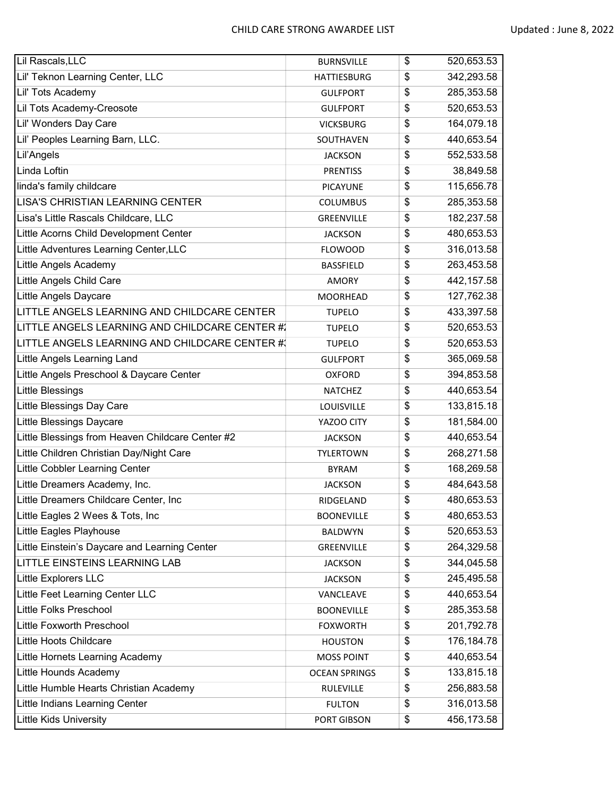| Lil Rascals, LLC                                 | <b>BURNSVILLE</b>    | \$<br>520,653.53 |
|--------------------------------------------------|----------------------|------------------|
| Lil' Teknon Learning Center, LLC                 | <b>HATTIESBURG</b>   | \$<br>342,293.58 |
| Lil' Tots Academy                                | <b>GULFPORT</b>      | \$<br>285,353.58 |
| Lil Tots Academy-Creosote                        | <b>GULFPORT</b>      | \$<br>520,653.53 |
| Lil' Wonders Day Care                            | <b>VICKSBURG</b>     | \$<br>164,079.18 |
| Lil' Peoples Learning Barn, LLC.                 | SOUTHAVEN            | \$<br>440,653.54 |
| Lil'Angels                                       | <b>JACKSON</b>       | \$<br>552,533.58 |
| Linda Loftin                                     | <b>PRENTISS</b>      | \$<br>38,849.58  |
| linda's family childcare                         | <b>PICAYUNE</b>      | \$<br>115,656.78 |
| <b>LISA'S CHRISTIAN LEARNING CENTER</b>          | <b>COLUMBUS</b>      | \$<br>285,353.58 |
| Lisa's Little Rascals Childcare, LLC             | GREENVILLE           | \$<br>182,237.58 |
| Little Acorns Child Development Center           | <b>JACKSON</b>       | \$<br>480,653.53 |
| Little Adventures Learning Center, LLC           | <b>FLOWOOD</b>       | \$<br>316,013.58 |
| Little Angels Academy                            | <b>BASSFIELD</b>     | \$<br>263,453.58 |
| Little Angels Child Care                         | <b>AMORY</b>         | \$<br>442,157.58 |
| Little Angels Daycare                            | MOORHEAD             | \$<br>127,762.38 |
| LITTLE ANGELS LEARNING AND CHILDCARE CENTER      | <b>TUPELO</b>        | \$<br>433,397.58 |
| LITTLE ANGELS LEARNING AND CHILDCARE CENTER #1   | <b>TUPELO</b>        | \$<br>520,653.53 |
| LITTLE ANGELS LEARNING AND CHILDCARE CENTER #    | <b>TUPELO</b>        | \$<br>520,653.53 |
| Little Angels Learning Land                      | <b>GULFPORT</b>      | \$<br>365,069.58 |
| Little Angels Preschool & Daycare Center         | <b>OXFORD</b>        | \$<br>394,853.58 |
| <b>Little Blessings</b>                          | <b>NATCHEZ</b>       | \$<br>440,653.54 |
| Little Blessings Day Care                        | LOUISVILLE           | \$<br>133,815.18 |
| <b>Little Blessings Daycare</b>                  | YAZOO CITY           | \$<br>181,584.00 |
| Little Blessings from Heaven Childcare Center #2 | <b>JACKSON</b>       | \$<br>440,653.54 |
| Little Children Christian Day/Night Care         | <b>TYLERTOWN</b>     | \$<br>268,271.58 |
| Little Cobbler Learning Center                   | <b>BYRAM</b>         | \$<br>168,269.58 |
| Little Dreamers Academy, Inc.                    | <b>JACKSON</b>       | \$<br>484,643.58 |
| Little Dreamers Childcare Center, Inc            | RIDGELAND            | \$<br>480,653.53 |
| Little Eagles 2 Wees & Tots, Inc                 | <b>BOONEVILLE</b>    | \$<br>480,653.53 |
| Little Eagles Playhouse                          | BALDWYN              | \$<br>520,653.53 |
| Little Einstein's Daycare and Learning Center    | GREENVILLE           | \$<br>264,329.58 |
| LITTLE EINSTEINS LEARNING LAB                    | <b>JACKSON</b>       | \$<br>344,045.58 |
| Little Explorers LLC                             | <b>JACKSON</b>       | \$<br>245,495.58 |
| Little Feet Learning Center LLC                  | VANCLEAVE            | \$<br>440,653.54 |
| Little Folks Preschool                           | <b>BOONEVILLE</b>    | \$<br>285,353.58 |
| Little Foxworth Preschool                        | <b>FOXWORTH</b>      | \$<br>201,792.78 |
| Little Hoots Childcare                           | <b>HOUSTON</b>       | \$<br>176,184.78 |
| Little Hornets Learning Academy                  | <b>MOSS POINT</b>    | \$<br>440,653.54 |
| Little Hounds Academy                            | <b>OCEAN SPRINGS</b> | \$<br>133,815.18 |
| Little Humble Hearts Christian Academy           | RULEVILLE            | \$<br>256,883.58 |
| Little Indians Learning Center                   | <b>FULTON</b>        | \$<br>316,013.58 |
| <b>Little Kids University</b>                    | PORT GIBSON          | \$<br>456,173.58 |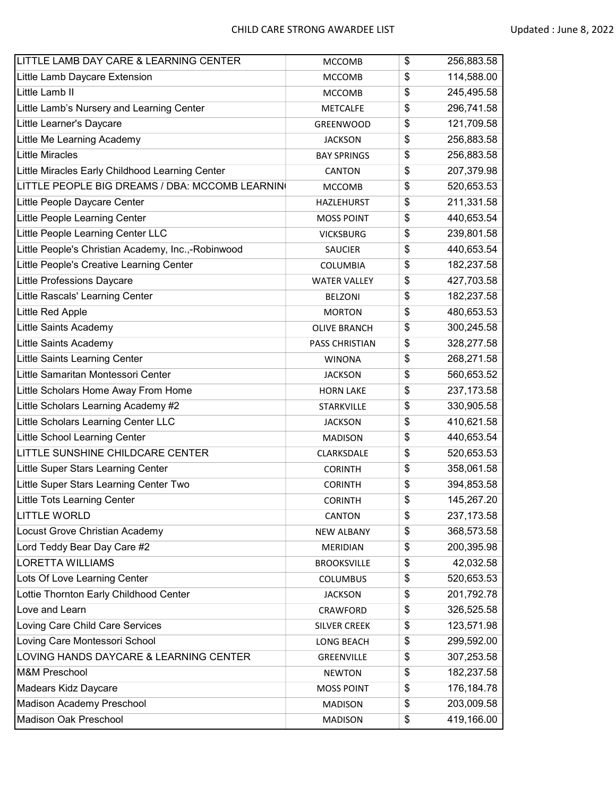| LITTLE LAMB DAY CARE & LEARNING CENTER             | <b>MCCOMB</b>         | \$<br>256,883.58  |
|----------------------------------------------------|-----------------------|-------------------|
| Little Lamb Daycare Extension                      | <b>MCCOMB</b>         | \$<br>114,588.00  |
| Little Lamb II                                     | <b>MCCOMB</b>         | \$<br>245,495.58  |
| Little Lamb's Nursery and Learning Center          | <b>METCALFE</b>       | \$<br>296,741.58  |
| Little Learner's Daycare                           | <b>GREENWOOD</b>      | \$<br>121,709.58  |
| Little Me Learning Academy                         | <b>JACKSON</b>        | \$<br>256,883.58  |
| <b>Little Miracles</b>                             | <b>BAY SPRINGS</b>    | \$<br>256,883.58  |
| Little Miracles Early Childhood Learning Center    | CANTON                | \$<br>207,379.98  |
| LITTLE PEOPLE BIG DREAMS / DBA: MCCOMB LEARNIN     | <b>MCCOMB</b>         | \$<br>520,653.53  |
| Little People Daycare Center                       | <b>HAZLEHURST</b>     | \$<br>211,331.58  |
| Little People Learning Center                      | <b>MOSS POINT</b>     | \$<br>440,653.54  |
| Little People Learning Center LLC                  | <b>VICKSBURG</b>      | \$<br>239,801.58  |
| Little People's Christian Academy, Inc.,-Robinwood | <b>SAUCIER</b>        | \$<br>440,653.54  |
| Little People's Creative Learning Center           | <b>COLUMBIA</b>       | \$<br>182,237.58  |
| Little Professions Daycare                         | <b>WATER VALLEY</b>   | \$<br>427,703.58  |
| Little Rascals' Learning Center                    | <b>BELZONI</b>        | \$<br>182,237.58  |
| Little Red Apple                                   | <b>MORTON</b>         | \$<br>480,653.53  |
| Little Saints Academy                              | <b>OLIVE BRANCH</b>   | \$<br>300,245.58  |
| Little Saints Academy                              | <b>PASS CHRISTIAN</b> | \$<br>328,277.58  |
| Little Saints Learning Center                      | <b>WINONA</b>         | \$<br>268,271.58  |
| Little Samaritan Montessori Center                 | <b>JACKSON</b>        | \$<br>560,653.52  |
| Little Scholars Home Away From Home                | <b>HORN LAKE</b>      | \$<br>237, 173.58 |
| Little Scholars Learning Academy #2                | <b>STARKVILLE</b>     | \$<br>330,905.58  |
| Little Scholars Learning Center LLC                | <b>JACKSON</b>        | \$<br>410,621.58  |
| Little School Learning Center                      | <b>MADISON</b>        | \$<br>440,653.54  |
| LITTLE SUNSHINE CHILDCARE CENTER                   | CLARKSDALE            | \$<br>520,653.53  |
| Little Super Stars Learning Center                 | <b>CORINTH</b>        | \$<br>358,061.58  |
| Little Super Stars Learning Center Two             | <b>CORINTH</b>        | \$<br>394,853.58  |
| Little Tots Learning Center                        | <b>CORINTH</b>        | \$<br>145,267.20  |
| <b>LITTLE WORLD</b>                                | CANTON                | \$<br>237, 173.58 |
| Locust Grove Christian Academy                     | <b>NEW ALBANY</b>     | \$<br>368,573.58  |
| Lord Teddy Bear Day Care #2                        | MERIDIAN              | \$<br>200,395.98  |
| <b>LORETTA WILLIAMS</b>                            | <b>BROOKSVILLE</b>    | \$<br>42,032.58   |
| Lots Of Love Learning Center                       | COLUMBUS              | \$<br>520,653.53  |
| Lottie Thornton Early Childhood Center             | <b>JACKSON</b>        | \$<br>201,792.78  |
| Love and Learn                                     | CRAWFORD              | \$<br>326,525.58  |
| Loving Care Child Care Services                    | <b>SILVER CREEK</b>   | \$<br>123,571.98  |
| Loving Care Montessori School                      | LONG BEACH            | \$<br>299,592.00  |
| LOVING HANDS DAYCARE & LEARNING CENTER             | GREENVILLE            | \$<br>307,253.58  |
| <b>M&amp;M Preschool</b>                           | <b>NEWTON</b>         | \$<br>182,237.58  |
| Madears Kidz Daycare                               | <b>MOSS POINT</b>     | \$<br>176,184.78  |
| Madison Academy Preschool                          | <b>MADISON</b>        | \$<br>203,009.58  |
| Madison Oak Preschool                              | <b>MADISON</b>        | \$<br>419,166.00  |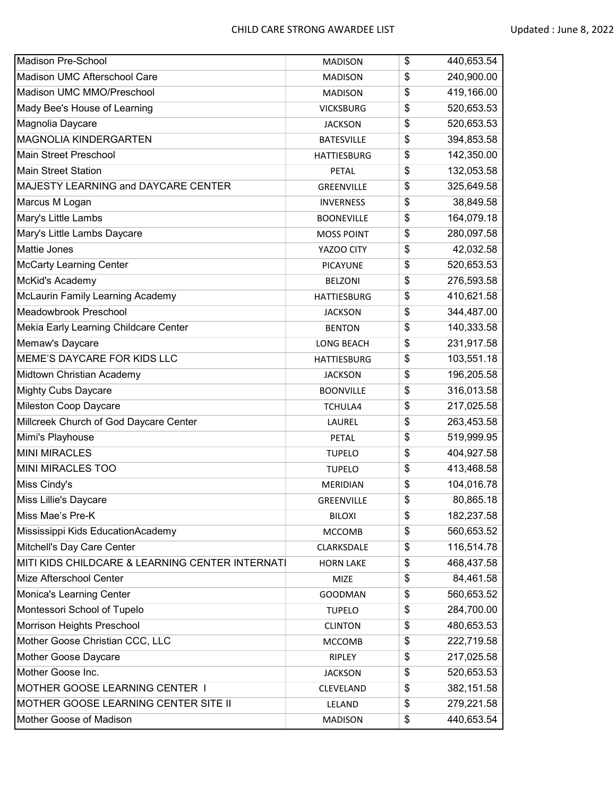| <b>Madison Pre-School</b>                       | <b>MADISON</b>     | \$<br>440,653.54 |
|-------------------------------------------------|--------------------|------------------|
| Madison UMC Afterschool Care                    | <b>MADISON</b>     | \$<br>240,900.00 |
| Madison UMC MMO/Preschool                       | <b>MADISON</b>     | \$<br>419,166.00 |
| Mady Bee's House of Learning                    | <b>VICKSBURG</b>   | \$<br>520,653.53 |
| Magnolia Daycare                                | <b>JACKSON</b>     | \$<br>520,653.53 |
| <b>MAGNOLIA KINDERGARTEN</b>                    | <b>BATESVILLE</b>  | \$<br>394,853.58 |
| Main Street Preschool                           | <b>HATTIESBURG</b> | \$<br>142,350.00 |
| <b>Main Street Station</b>                      | <b>PETAL</b>       | \$<br>132,053.58 |
| MAJESTY LEARNING and DAYCARE CENTER             | GREENVILLE         | \$<br>325,649.58 |
| Marcus M Logan                                  | <b>INVERNESS</b>   | \$<br>38,849.58  |
| Mary's Little Lambs                             | <b>BOONEVILLE</b>  | \$<br>164,079.18 |
| Mary's Little Lambs Daycare                     | <b>MOSS POINT</b>  | \$<br>280,097.58 |
| Mattie Jones                                    | YAZOO CITY         | \$<br>42,032.58  |
| <b>McCarty Learning Center</b>                  | <b>PICAYUNE</b>    | \$<br>520,653.53 |
| McKid's Academy                                 | <b>BELZONI</b>     | \$<br>276,593.58 |
| McLaurin Family Learning Academy                | <b>HATTIESBURG</b> | \$<br>410,621.58 |
| Meadowbrook Preschool                           | <b>JACKSON</b>     | \$<br>344,487.00 |
| Mekia Early Learning Childcare Center           | <b>BENTON</b>      | \$<br>140,333.58 |
| Memaw's Daycare                                 | <b>LONG BEACH</b>  | \$<br>231,917.58 |
| MEME'S DAYCARE FOR KIDS LLC                     | <b>HATTIESBURG</b> | \$<br>103,551.18 |
| Midtown Christian Academy                       | <b>JACKSON</b>     | \$<br>196,205.58 |
| <b>Mighty Cubs Daycare</b>                      | <b>BOONVILLE</b>   | \$<br>316,013.58 |
| Mileston Coop Daycare                           | TCHULA4            | \$<br>217,025.58 |
| Millcreek Church of God Daycare Center          | LAUREL             | \$<br>263,453.58 |
| Mimi's Playhouse                                | PETAL              | \$<br>519,999.95 |
| <b>MINI MIRACLES</b>                            | <b>TUPELO</b>      | \$<br>404,927.58 |
| MINI MIRACLES TOO                               | <b>TUPELO</b>      | \$<br>413,468.58 |
| Miss Cindy's                                    | MERIDIAN           | \$<br>104,016.78 |
| Miss Lillie's Daycare                           | <b>GREENVILLE</b>  | \$<br>80,865.18  |
| Miss Mae's Pre-K                                | <b>BILOXI</b>      | \$<br>182,237.58 |
| Mississippi Kids EducationAcademy               | <b>MCCOMB</b>      | \$<br>560,653.52 |
| Mitchell's Day Care Center                      | CLARKSDALE         | \$<br>116,514.78 |
| MITI KIDS CHILDCARE & LEARNING CENTER INTERNATI | <b>HORN LAKE</b>   | \$<br>468,437.58 |
| Mize Afterschool Center                         | <b>MIZE</b>        | \$<br>84,461.58  |
| Monica's Learning Center                        | <b>GOODMAN</b>     | \$<br>560,653.52 |
| Montessori School of Tupelo                     | <b>TUPELO</b>      | \$<br>284,700.00 |
| Morrison Heights Preschool                      | <b>CLINTON</b>     | \$<br>480,653.53 |
| Mother Goose Christian CCC, LLC                 | <b>MCCOMB</b>      | \$<br>222,719.58 |
| Mother Goose Daycare                            | RIPLEY             | \$<br>217,025.58 |
| Mother Goose Inc.                               | <b>JACKSON</b>     | \$<br>520,653.53 |
| MOTHER GOOSE LEARNING CENTER I                  | CLEVELAND          | \$<br>382,151.58 |
| MOTHER GOOSE LEARNING CENTER SITE II            | LELAND             | \$<br>279,221.58 |
| Mother Goose of Madison                         | <b>MADISON</b>     | \$<br>440,653.54 |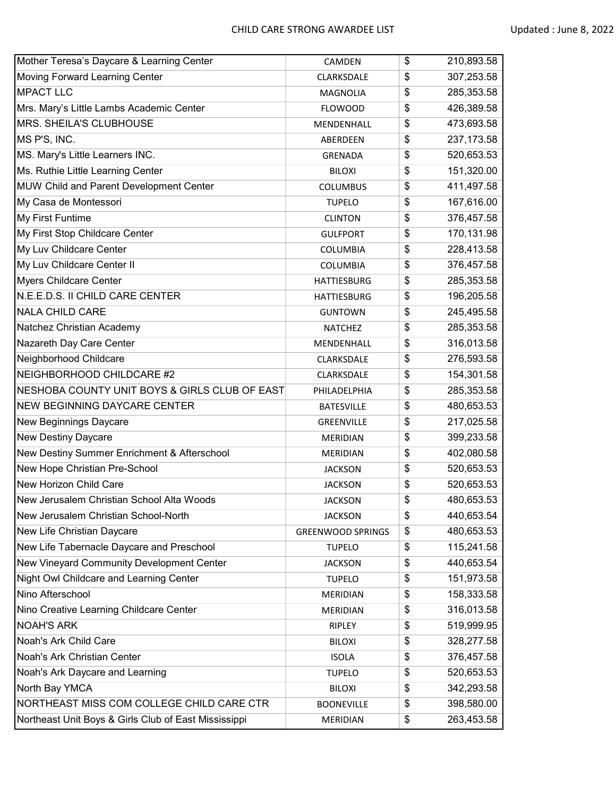| Mother Teresa's Daycare & Learning Center            | CAMDEN                   | \$<br>210,893.58  |
|------------------------------------------------------|--------------------------|-------------------|
| Moving Forward Learning Center                       | CLARKSDALE               | \$<br>307,253.58  |
| <b>MPACT LLC</b>                                     | <b>MAGNOLIA</b>          | \$<br>285,353.58  |
| Mrs. Mary's Little Lambs Academic Center             | <b>FLOWOOD</b>           | \$<br>426,389.58  |
| MRS. SHEILA'S CLUBHOUSE                              | MENDENHALL               | \$<br>473,693.58  |
| MS P'S, INC.                                         | ABERDEEN                 | \$<br>237, 173.58 |
| MS. Mary's Little Learners INC.                      | GRENADA                  | \$<br>520,653.53  |
| Ms. Ruthie Little Learning Center                    | <b>BILOXI</b>            | \$<br>151,320.00  |
| MUW Child and Parent Development Center              | <b>COLUMBUS</b>          | \$<br>411,497.58  |
| My Casa de Montessori                                | <b>TUPELO</b>            | \$<br>167,616.00  |
| My First Funtime                                     | <b>CLINTON</b>           | \$<br>376,457.58  |
| My First Stop Childcare Center                       | <b>GULFPORT</b>          | \$<br>170,131.98  |
| My Luv Childcare Center                              | <b>COLUMBIA</b>          | \$<br>228,413.58  |
| My Luv Childcare Center II                           | <b>COLUMBIA</b>          | \$<br>376,457.58  |
| <b>Myers Childcare Center</b>                        | <b>HATTIESBURG</b>       | \$<br>285,353.58  |
| N.E.E.D.S. II CHILD CARE CENTER                      | <b>HATTIESBURG</b>       | \$<br>196,205.58  |
| <b>NALA CHILD CARE</b>                               | <b>GUNTOWN</b>           | \$<br>245,495.58  |
| Natchez Christian Academy                            | <b>NATCHEZ</b>           | \$<br>285,353.58  |
| Nazareth Day Care Center                             | MENDENHALL               | \$<br>316,013.58  |
| Neighborhood Childcare                               | CLARKSDALE               | \$<br>276,593.58  |
| NEIGHBORHOOD CHILDCARE #2                            | CLARKSDALE               | \$<br>154,301.58  |
| NESHOBA COUNTY UNIT BOYS & GIRLS CLUB OF EAST        | PHILADELPHIA             | \$<br>285,353.58  |
| NEW BEGINNING DAYCARE CENTER                         | <b>BATESVILLE</b>        | \$<br>480,653.53  |
| New Beginnings Daycare                               | GREENVILLE               | \$<br>217,025.58  |
| New Destiny Daycare                                  | <b>MERIDIAN</b>          | \$<br>399,233.58  |
| New Destiny Summer Enrichment & Afterschool          | <b>MERIDIAN</b>          | \$<br>402,080.58  |
| New Hope Christian Pre-School                        | <b>JACKSON</b>           | \$<br>520,653.53  |
| New Horizon Child Care                               | <b>JACKSON</b>           | \$<br>520,653.53  |
| New Jerusalem Christian School Alta Woods            | <b>JACKSON</b>           | \$<br>480,653.53  |
| New Jerusalem Christian School-North                 | <b>JACKSON</b>           | \$<br>440,653.54  |
| New Life Christian Daycare                           | <b>GREENWOOD SPRINGS</b> | \$<br>480,653.53  |
| New Life Tabernacle Daycare and Preschool            | <b>TUPELO</b>            | \$<br>115,241.58  |
| New Vineyard Community Development Center            | <b>JACKSON</b>           | \$<br>440,653.54  |
| Night Owl Childcare and Learning Center              | <b>TUPELO</b>            | \$<br>151,973.58  |
| Nino Afterschool                                     | MERIDIAN                 | \$<br>158,333.58  |
| Nino Creative Learning Childcare Center              | MERIDIAN                 | \$<br>316,013.58  |
| <b>NOAH'S ARK</b>                                    | RIPLEY                   | \$<br>519,999.95  |
| Noah's Ark Child Care                                | <b>BILOXI</b>            | \$<br>328,277.58  |
| Noah's Ark Christian Center                          | <b>ISOLA</b>             | \$<br>376,457.58  |
| Noah's Ark Daycare and Learning                      | <b>TUPELO</b>            | \$<br>520,653.53  |
| North Bay YMCA                                       | <b>BILOXI</b>            | \$<br>342,293.58  |
| NORTHEAST MISS COM COLLEGE CHILD CARE CTR            | <b>BOONEVILLE</b>        | \$<br>398,580.00  |
| Northeast Unit Boys & Girls Club of East Mississippi | MERIDIAN                 | \$<br>263,453.58  |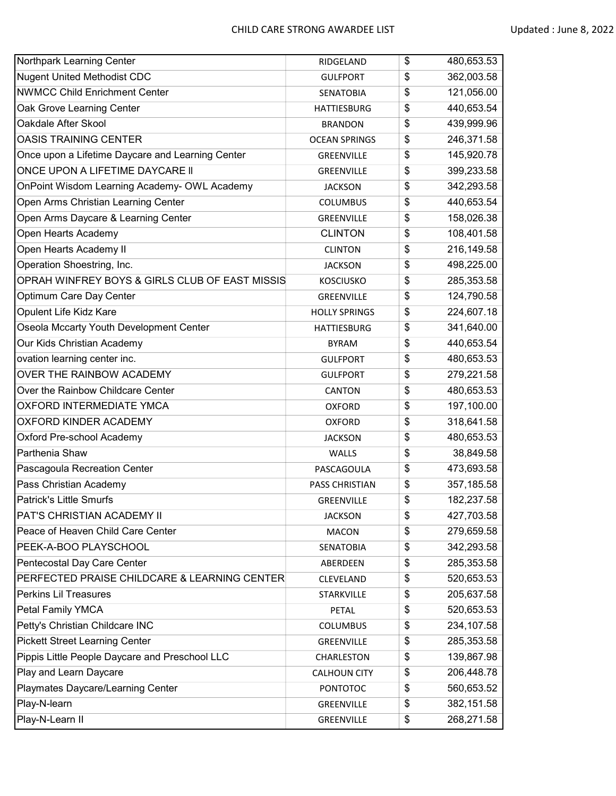| Northpark Learning Center                        | RIDGELAND             | \$<br>480,653.53 |
|--------------------------------------------------|-----------------------|------------------|
| <b>Nugent United Methodist CDC</b>               | <b>GULFPORT</b>       | \$<br>362,003.58 |
| <b>NWMCC Child Enrichment Center</b>             | <b>SENATOBIA</b>      | \$<br>121,056.00 |
| Oak Grove Learning Center                        | <b>HATTIESBURG</b>    | \$<br>440,653.54 |
| Oakdale After Skool                              | <b>BRANDON</b>        | \$<br>439,999.96 |
| <b>OASIS TRAINING CENTER</b>                     | <b>OCEAN SPRINGS</b>  | \$<br>246,371.58 |
| Once upon a Lifetime Daycare and Learning Center | GREENVILLE            | \$<br>145,920.78 |
| ONCE UPON A LIFETIME DAYCARE II                  | GREENVILLE            | \$<br>399,233.58 |
| OnPoint Wisdom Learning Academy- OWL Academy     | <b>JACKSON</b>        | \$<br>342,293.58 |
| Open Arms Christian Learning Center              | <b>COLUMBUS</b>       | \$<br>440,653.54 |
| Open Arms Daycare & Learning Center              | GREENVILLE            | \$<br>158,026.38 |
| Open Hearts Academy                              | <b>CLINTON</b>        | \$<br>108,401.58 |
| Open Hearts Academy II                           | <b>CLINTON</b>        | \$<br>216,149.58 |
| Operation Shoestring, Inc.                       | <b>JACKSON</b>        | \$<br>498,225.00 |
| OPRAH WINFREY BOYS & GIRLS CLUB OF EAST MISSIS   | <b>KOSCIUSKO</b>      | \$<br>285,353.58 |
| Optimum Care Day Center                          | GREENVILLE            | \$<br>124,790.58 |
| Opulent Life Kidz Kare                           | <b>HOLLY SPRINGS</b>  | \$<br>224,607.18 |
| Oseola Mccarty Youth Development Center          | <b>HATTIESBURG</b>    | \$<br>341,640.00 |
| Our Kids Christian Academy                       | <b>BYRAM</b>          | \$<br>440,653.54 |
| ovation learning center inc.                     | <b>GULFPORT</b>       | \$<br>480,653.53 |
| OVER THE RAINBOW ACADEMY                         | <b>GULFPORT</b>       | \$<br>279,221.58 |
| Over the Rainbow Childcare Center                | <b>CANTON</b>         | \$<br>480,653.53 |
| OXFORD INTERMEDIATE YMCA                         | <b>OXFORD</b>         | \$<br>197,100.00 |
| OXFORD KINDER ACADEMY                            | <b>OXFORD</b>         | \$<br>318,641.58 |
| Oxford Pre-school Academy                        | <b>JACKSON</b>        | \$<br>480,653.53 |
| Parthenia Shaw                                   | WALLS                 | \$<br>38,849.58  |
| Pascagoula Recreation Center                     | PASCAGOULA            | \$<br>473,693.58 |
| Pass Christian Academy                           | <b>PASS CHRISTIAN</b> | \$<br>357,185.58 |
| <b>Patrick's Little Smurfs</b>                   | <b>GREENVILLE</b>     | \$<br>182,237.58 |
| PAT'S CHRISTIAN ACADEMY II                       | <b>JACKSON</b>        | \$<br>427,703.58 |
| Peace of Heaven Child Care Center                | <b>MACON</b>          | \$<br>279,659.58 |
| PEEK-A-BOO PLAYSCHOOL                            | SENATOBIA             | \$<br>342,293.58 |
| Pentecostal Day Care Center                      | ABERDEEN              | \$<br>285,353.58 |
| PERFECTED PRAISE CHILDCARE & LEARNING CENTER     | CLEVELAND             | \$<br>520,653.53 |
| <b>Perkins Lil Treasures</b>                     | STARKVILLE            | \$<br>205,637.58 |
| Petal Family YMCA                                | PETAL                 | \$<br>520,653.53 |
| Petty's Christian Childcare INC                  | <b>COLUMBUS</b>       | \$<br>234,107.58 |
| <b>Pickett Street Learning Center</b>            | GREENVILLE            | \$<br>285,353.58 |
| Pippis Little People Daycare and Preschool LLC   | CHARLESTON            | \$<br>139,867.98 |
| Play and Learn Daycare                           | <b>CALHOUN CITY</b>   | \$<br>206,448.78 |
| Playmates Daycare/Learning Center                | <b>PONTOTOC</b>       | \$<br>560,653.52 |
| Play-N-learn                                     | GREENVILLE            | \$<br>382,151.58 |
| Play-N-Learn II                                  | GREENVILLE            | \$<br>268,271.58 |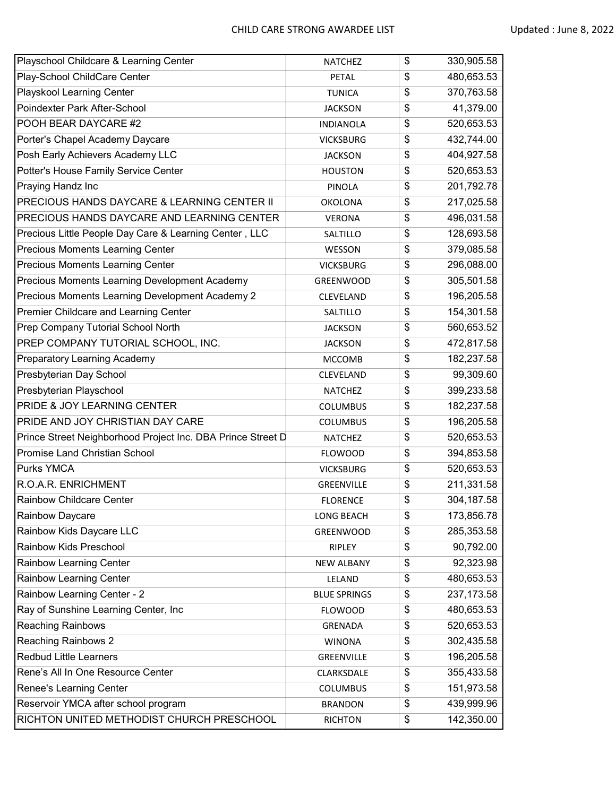| Playschool Childcare & Learning Center                      | <b>NATCHEZ</b>      | \$<br>330,905.58  |
|-------------------------------------------------------------|---------------------|-------------------|
| Play-School ChildCare Center                                | PETAL               | \$<br>480,653.53  |
| Playskool Learning Center                                   | <b>TUNICA</b>       | \$<br>370,763.58  |
| Poindexter Park After-School                                | <b>JACKSON</b>      | \$<br>41,379.00   |
| POOH BEAR DAYCARE #2                                        | <b>INDIANOLA</b>    | \$<br>520,653.53  |
| Porter's Chapel Academy Daycare                             | <b>VICKSBURG</b>    | \$<br>432,744.00  |
| Posh Early Achievers Academy LLC                            | <b>JACKSON</b>      | \$<br>404,927.58  |
| Potter's House Family Service Center                        | <b>HOUSTON</b>      | \$<br>520,653.53  |
| Praying Handz Inc                                           | PINOLA              | \$<br>201,792.78  |
| PRECIOUS HANDS DAYCARE & LEARNING CENTER II                 | <b>OKOLONA</b>      | \$<br>217,025.58  |
| PRECIOUS HANDS DAYCARE AND LEARNING CENTER                  | <b>VERONA</b>       | \$<br>496,031.58  |
| Precious Little People Day Care & Learning Center, LLC      | SALTILLO            | \$<br>128,693.58  |
| Precious Moments Learning Center                            | WESSON              | \$<br>379,085.58  |
| <b>Precious Moments Learning Center</b>                     | <b>VICKSBURG</b>    | \$<br>296,088.00  |
| Precious Moments Learning Development Academy               | GREENWOOD           | \$<br>305,501.58  |
| Precious Moments Learning Development Academy 2             | CLEVELAND           | \$<br>196,205.58  |
| Premier Childcare and Learning Center                       | SALTILLO            | \$<br>154,301.58  |
| Prep Company Tutorial School North                          | <b>JACKSON</b>      | \$<br>560,653.52  |
| PREP COMPANY TUTORIAL SCHOOL, INC.                          | <b>JACKSON</b>      | \$<br>472,817.58  |
| Preparatory Learning Academy                                | <b>MCCOMB</b>       | \$<br>182,237.58  |
| Presbyterian Day School                                     | CLEVELAND           | \$<br>99,309.60   |
| Presbyterian Playschool                                     | <b>NATCHEZ</b>      | \$<br>399,233.58  |
| PRIDE & JOY LEARNING CENTER                                 | <b>COLUMBUS</b>     | \$<br>182,237.58  |
| PRIDE AND JOY CHRISTIAN DAY CARE                            | <b>COLUMBUS</b>     | \$<br>196,205.58  |
| Prince Street Neighborhood Project Inc. DBA Prince Street D | <b>NATCHEZ</b>      | \$<br>520,653.53  |
| <b>Promise Land Christian School</b>                        | <b>FLOWOOD</b>      | \$<br>394,853.58  |
| Purks YMCA                                                  | <b>VICKSBURG</b>    | \$<br>520,653.53  |
| R.O.A.R. ENRICHMENT                                         | <b>GREENVILLE</b>   | \$<br>211,331.58  |
| <b>Rainbow Childcare Center</b>                             | <b>FLORENCE</b>     | \$<br>304,187.58  |
| Rainbow Daycare                                             | <b>LONG BEACH</b>   | \$<br>173,856.78  |
| Rainbow Kids Daycare LLC                                    | GREENWOOD           | \$<br>285,353.58  |
| <b>Rainbow Kids Preschool</b>                               | RIPLEY              | \$<br>90,792.00   |
| <b>Rainbow Learning Center</b>                              | <b>NEW ALBANY</b>   | \$<br>92,323.98   |
| <b>Rainbow Learning Center</b>                              | LELAND              | \$<br>480,653.53  |
| Rainbow Learning Center - 2                                 | <b>BLUE SPRINGS</b> | \$<br>237, 173.58 |
| Ray of Sunshine Learning Center, Inc                        | <b>FLOWOOD</b>      | \$<br>480,653.53  |
| <b>Reaching Rainbows</b>                                    | GRENADA             | \$<br>520,653.53  |
| <b>Reaching Rainbows 2</b>                                  | <b>WINONA</b>       | \$<br>302,435.58  |
| <b>Redbud Little Learners</b>                               | GREENVILLE          | \$<br>196,205.58  |
| Rene's All In One Resource Center                           | CLARKSDALE          | \$<br>355,433.58  |
| Renee's Learning Center                                     | COLUMBUS            | \$<br>151,973.58  |
| Reservoir YMCA after school program                         | <b>BRANDON</b>      | \$<br>439,999.96  |
| RICHTON UNITED METHODIST CHURCH PRESCHOOL                   | <b>RICHTON</b>      | \$<br>142,350.00  |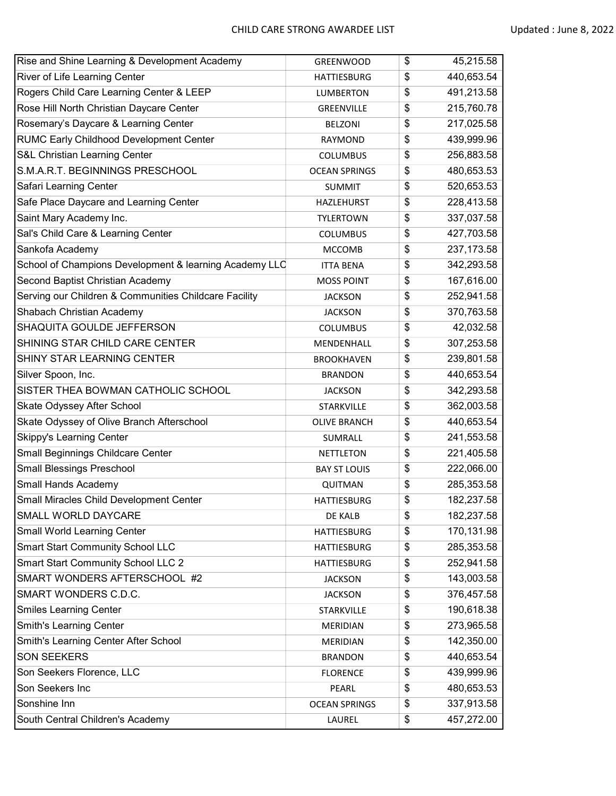| Rise and Shine Learning & Development Academy          | <b>GREENWOOD</b>     | \$<br>45,215.58   |
|--------------------------------------------------------|----------------------|-------------------|
| River of Life Learning Center                          | <b>HATTIESBURG</b>   | \$<br>440,653.54  |
| Rogers Child Care Learning Center & LEEP               | <b>LUMBERTON</b>     | \$<br>491,213.58  |
| Rose Hill North Christian Daycare Center               | GREENVILLE           | \$<br>215,760.78  |
| Rosemary's Daycare & Learning Center                   | <b>BELZONI</b>       | \$<br>217,025.58  |
| <b>RUMC Early Childhood Development Center</b>         | RAYMOND              | \$<br>439,999.96  |
| S&L Christian Learning Center                          | <b>COLUMBUS</b>      | \$<br>256,883.58  |
| S.M.A.R.T. BEGINNINGS PRESCHOOL                        | <b>OCEAN SPRINGS</b> | \$<br>480,653.53  |
| Safari Learning Center                                 | <b>SUMMIT</b>        | \$<br>520,653.53  |
| Safe Place Daycare and Learning Center                 | <b>HAZLEHURST</b>    | \$<br>228,413.58  |
| Saint Mary Academy Inc.                                | <b>TYLERTOWN</b>     | \$<br>337,037.58  |
| Sal's Child Care & Learning Center                     | <b>COLUMBUS</b>      | \$<br>427,703.58  |
| Sankofa Academy                                        | <b>MCCOMB</b>        | \$<br>237, 173.58 |
| School of Champions Development & learning Academy LLC | <b>ITTA BENA</b>     | \$<br>342,293.58  |
| Second Baptist Christian Academy                       | <b>MOSS POINT</b>    | \$<br>167,616.00  |
| Serving our Children & Communities Childcare Facility  | <b>JACKSON</b>       | \$<br>252,941.58  |
| Shabach Christian Academy                              | <b>JACKSON</b>       | \$<br>370,763.58  |
| SHAQUITA GOULDE JEFFERSON                              | <b>COLUMBUS</b>      | \$<br>42,032.58   |
| SHINING STAR CHILD CARE CENTER                         | MENDENHALL           | \$<br>307,253.58  |
| SHINY STAR LEARNING CENTER                             | <b>BROOKHAVEN</b>    | \$<br>239,801.58  |
| Silver Spoon, Inc.                                     | <b>BRANDON</b>       | \$<br>440,653.54  |
| SISTER THEA BOWMAN CATHOLIC SCHOOL                     | <b>JACKSON</b>       | \$<br>342,293.58  |
| Skate Odyssey After School                             | <b>STARKVILLE</b>    | \$<br>362,003.58  |
| Skate Odyssey of Olive Branch Afterschool              | <b>OLIVE BRANCH</b>  | \$<br>440,653.54  |
| <b>Skippy's Learning Center</b>                        | SUMRALL              | \$<br>241,553.58  |
| Small Beginnings Childcare Center                      | <b>NETTLETON</b>     | \$<br>221,405.58  |
| <b>Small Blessings Preschool</b>                       | <b>BAY ST LOUIS</b>  | \$<br>222,066.00  |
| Small Hands Academy                                    | QUITMAN              | \$<br>285,353.58  |
| Small Miracles Child Development Center                | <b>HATTIESBURG</b>   | \$<br>182,237.58  |
| SMALL WORLD DAYCARE                                    | DE KALB              | \$<br>182,237.58  |
| Small World Learning Center                            | <b>HATTIESBURG</b>   | \$<br>170,131.98  |
| <b>Smart Start Community School LLC</b>                | <b>HATTIESBURG</b>   | \$<br>285,353.58  |
| <b>Smart Start Community School LLC 2</b>              | HATTIESBURG          | \$<br>252,941.58  |
| SMART WONDERS AFTERSCHOOL #2                           | <b>JACKSON</b>       | \$<br>143,003.58  |
| SMART WONDERS C.D.C.                                   | <b>JACKSON</b>       | \$<br>376,457.58  |
| <b>Smiles Learning Center</b>                          | STARKVILLE           | \$<br>190,618.38  |
| <b>Smith's Learning Center</b>                         | MERIDIAN             | \$<br>273,965.58  |
| Smith's Learning Center After School                   | MERIDIAN             | \$<br>142,350.00  |
| <b>SON SEEKERS</b>                                     | <b>BRANDON</b>       | \$<br>440,653.54  |
| Son Seekers Florence, LLC                              | <b>FLORENCE</b>      | \$<br>439,999.96  |
| Son Seekers Inc                                        | PEARL                | \$<br>480,653.53  |
| Sonshine Inn                                           | <b>OCEAN SPRINGS</b> | \$<br>337,913.58  |
| South Central Children's Academy                       | LAUREL               | \$<br>457,272.00  |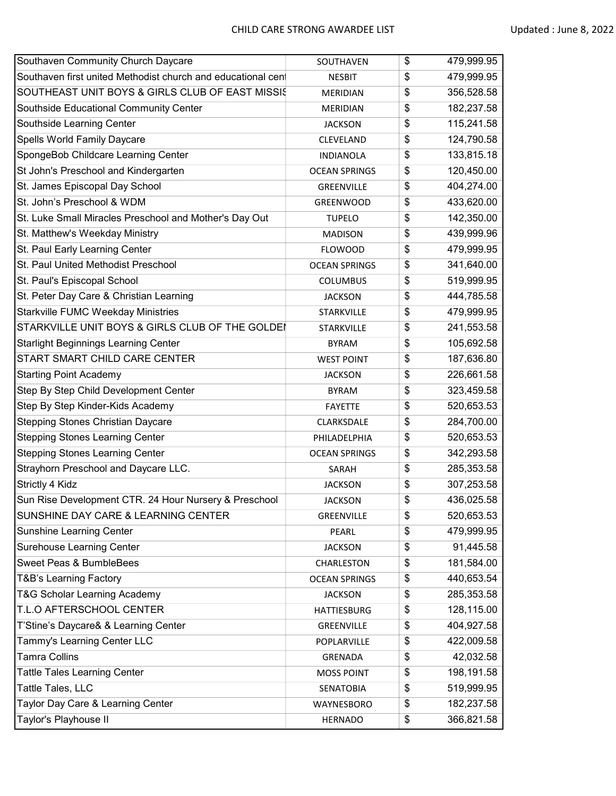| Southaven Community Church Daycare                           | SOUTHAVEN            | \$<br>479,999.95 |
|--------------------------------------------------------------|----------------------|------------------|
| Southaven first united Methodist church and educational cent | <b>NESBIT</b>        | \$<br>479,999.95 |
| SOUTHEAST UNIT BOYS & GIRLS CLUB OF EAST MISSIS              | <b>MERIDIAN</b>      | \$<br>356,528.58 |
| Southside Educational Community Center                       | <b>MERIDIAN</b>      | \$<br>182,237.58 |
| Southside Learning Center                                    | <b>JACKSON</b>       | \$<br>115,241.58 |
| Spells World Family Daycare                                  | CLEVELAND            | \$<br>124,790.58 |
| SpongeBob Childcare Learning Center                          | <b>INDIANOLA</b>     | \$<br>133,815.18 |
| St John's Preschool and Kindergarten                         | <b>OCEAN SPRINGS</b> | \$<br>120,450.00 |
| St. James Episcopal Day School                               | GREENVILLE           | \$<br>404,274.00 |
| St. John's Preschool & WDM                                   | GREENWOOD            | \$<br>433,620.00 |
| St. Luke Small Miracles Preschool and Mother's Day Out       | <b>TUPELO</b>        | \$<br>142,350.00 |
| St. Matthew's Weekday Ministry                               | <b>MADISON</b>       | \$<br>439,999.96 |
| St. Paul Early Learning Center                               | <b>FLOWOOD</b>       | \$<br>479,999.95 |
| St. Paul United Methodist Preschool                          | <b>OCEAN SPRINGS</b> | \$<br>341,640.00 |
| St. Paul's Episcopal School                                  | <b>COLUMBUS</b>      | \$<br>519,999.95 |
| St. Peter Day Care & Christian Learning                      | <b>JACKSON</b>       | \$<br>444,785.58 |
| <b>Starkville FUMC Weekday Ministries</b>                    | <b>STARKVILLE</b>    | \$<br>479,999.95 |
| STARKVILLE UNIT BOYS & GIRLS CLUB OF THE GOLDEI              | <b>STARKVILLE</b>    | \$<br>241,553.58 |
| <b>Starlight Beginnings Learning Center</b>                  | <b>BYRAM</b>         | \$<br>105,692.58 |
| START SMART CHILD CARE CENTER                                | <b>WEST POINT</b>    | \$<br>187,636.80 |
| <b>Starting Point Academy</b>                                | <b>JACKSON</b>       | \$<br>226,661.58 |
| Step By Step Child Development Center                        | <b>BYRAM</b>         | \$<br>323,459.58 |
| Step By Step Kinder-Kids Academy                             | <b>FAYETTE</b>       | \$<br>520,653.53 |
| Stepping Stones Christian Daycare                            | CLARKSDALE           | \$<br>284,700.00 |
| <b>Stepping Stones Learning Center</b>                       | PHILADELPHIA         | \$<br>520,653.53 |
| <b>Stepping Stones Learning Center</b>                       | <b>OCEAN SPRINGS</b> | \$<br>342,293.58 |
| Strayhorn Preschool and Daycare LLC.                         | SARAH                | \$<br>285,353.58 |
| Strictly 4 Kidz                                              | <b>JACKSON</b>       | \$<br>307,253.58 |
| Sun Rise Development CTR. 24 Hour Nursery & Preschool        | <b>JACKSON</b>       | \$<br>436,025.58 |
| SUNSHINE DAY CARE & LEARNING CENTER                          | GREENVILLE           | \$<br>520,653.53 |
| Sunshine Learning Center                                     | PEARL                | \$<br>479,999.95 |
| Surehouse Learning Center                                    | <b>JACKSON</b>       | \$<br>91,445.58  |
| Sweet Peas & BumbleBees                                      | CHARLESTON           | \$<br>181,584.00 |
| T&B's Learning Factory                                       | <b>OCEAN SPRINGS</b> | \$<br>440,653.54 |
| T&G Scholar Learning Academy                                 | <b>JACKSON</b>       | \$<br>285,353.58 |
| T.L.O AFTERSCHOOL CENTER                                     | HATTIESBURG          | \$<br>128,115.00 |
| T'Stine's Daycare& & Learning Center                         | GREENVILLE           | \$<br>404,927.58 |
| Tammy's Learning Center LLC                                  | POPLARVILLE          | \$<br>422,009.58 |
| <b>Tamra Collins</b>                                         | GRENADA              | \$<br>42,032.58  |
| <b>Tattle Tales Learning Center</b>                          | <b>MOSS POINT</b>    | \$<br>198,191.58 |
| Tattle Tales, LLC                                            | <b>SENATOBIA</b>     | \$<br>519,999.95 |
| Taylor Day Care & Learning Center                            | WAYNESBORO           | \$<br>182,237.58 |
| Taylor's Playhouse II                                        | <b>HERNADO</b>       | \$<br>366,821.58 |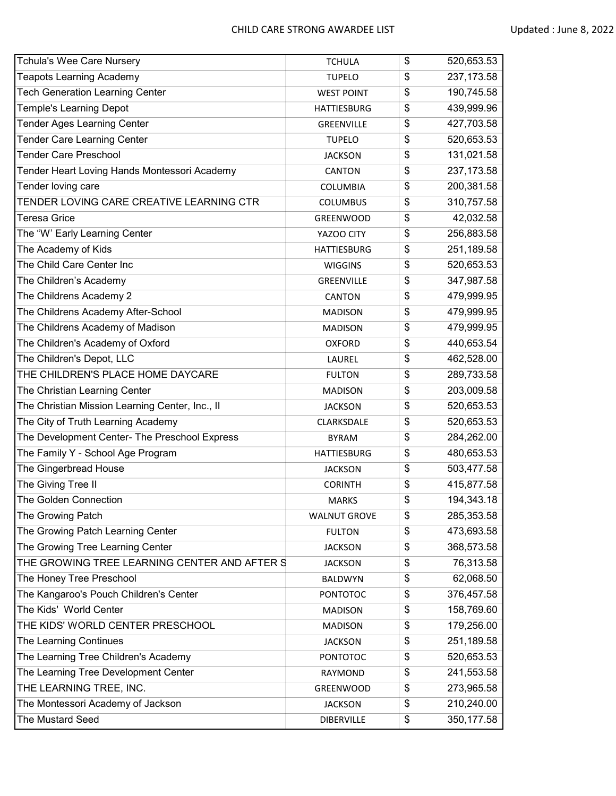| Tchula's Wee Care Nursery                       | <b>TCHULA</b>       | \$<br>520,653.53  |
|-------------------------------------------------|---------------------|-------------------|
| <b>Teapots Learning Academy</b>                 | <b>TUPELO</b>       | \$<br>237, 173.58 |
| <b>Tech Generation Learning Center</b>          | <b>WEST POINT</b>   | \$<br>190,745.58  |
| <b>Temple's Learning Depot</b>                  | <b>HATTIESBURG</b>  | \$<br>439,999.96  |
| Tender Ages Learning Center                     | GREENVILLE          | \$<br>427,703.58  |
| Tender Care Learning Center                     | <b>TUPELO</b>       | \$<br>520,653.53  |
| <b>Tender Care Preschool</b>                    | <b>JACKSON</b>      | \$<br>131,021.58  |
| Tender Heart Loving Hands Montessori Academy    | <b>CANTON</b>       | \$<br>237, 173.58 |
| Tender loving care                              | <b>COLUMBIA</b>     | \$<br>200,381.58  |
| TENDER LOVING CARE CREATIVE LEARNING CTR        | <b>COLUMBUS</b>     | \$<br>310,757.58  |
| Teresa Grice                                    | <b>GREENWOOD</b>    | \$<br>42,032.58   |
| The "W' Early Learning Center                   | YAZOO CITY          | \$<br>256,883.58  |
| The Academy of Kids                             | <b>HATTIESBURG</b>  | \$<br>251,189.58  |
| The Child Care Center Inc                       | <b>WIGGINS</b>      | \$<br>520,653.53  |
| The Children's Academy                          | GREENVILLE          | \$<br>347,987.58  |
| The Childrens Academy 2                         | CANTON              | \$<br>479,999.95  |
| The Childrens Academy After-School              | <b>MADISON</b>      | \$<br>479,999.95  |
| The Childrens Academy of Madison                | <b>MADISON</b>      | \$<br>479,999.95  |
| The Children's Academy of Oxford                | <b>OXFORD</b>       | \$<br>440,653.54  |
| The Children's Depot, LLC                       | LAUREL              | \$<br>462,528.00  |
| THE CHILDREN'S PLACE HOME DAYCARE               | <b>FULTON</b>       | \$<br>289,733.58  |
| The Christian Learning Center                   | <b>MADISON</b>      | \$<br>203,009.58  |
| The Christian Mission Learning Center, Inc., II | <b>JACKSON</b>      | \$<br>520,653.53  |
| The City of Truth Learning Academy              | CLARKSDALE          | \$<br>520,653.53  |
| The Development Center- The Preschool Express   | <b>BYRAM</b>        | \$<br>284,262.00  |
| The Family Y - School Age Program               | <b>HATTIESBURG</b>  | \$<br>480,653.53  |
| The Gingerbread House                           | <b>JACKSON</b>      | \$<br>503,477.58  |
| The Giving Tree II                              | <b>CORINTH</b>      | \$<br>415,877.58  |
| The Golden Connection                           | <b>MARKS</b>        | \$<br>194,343.18  |
| The Growing Patch                               | <b>WALNUT GROVE</b> | \$<br>285,353.58  |
| The Growing Patch Learning Center               | <b>FULTON</b>       | \$<br>473,693.58  |
| The Growing Tree Learning Center                | <b>JACKSON</b>      | \$<br>368,573.58  |
| THE GROWING TREE LEARNING CENTER AND AFTER S    | <b>JACKSON</b>      | \$<br>76,313.58   |
| The Honey Tree Preschool                        | <b>BALDWYN</b>      | \$<br>62,068.50   |
| The Kangaroo's Pouch Children's Center          | <b>PONTOTOC</b>     | \$<br>376,457.58  |
| The Kids' World Center                          | <b>MADISON</b>      | \$<br>158,769.60  |
| THE KIDS' WORLD CENTER PRESCHOOL                | <b>MADISON</b>      | \$<br>179,256.00  |
| The Learning Continues                          | <b>JACKSON</b>      | \$<br>251,189.58  |
| The Learning Tree Children's Academy            | PONTOTOC            | \$<br>520,653.53  |
| The Learning Tree Development Center            | RAYMOND             | \$<br>241,553.58  |
| THE LEARNING TREE, INC.                         | <b>GREENWOOD</b>    | \$<br>273,965.58  |
| The Montessori Academy of Jackson               | <b>JACKSON</b>      | \$<br>210,240.00  |
| The Mustard Seed                                | <b>DIBERVILLE</b>   | \$<br>350,177.58  |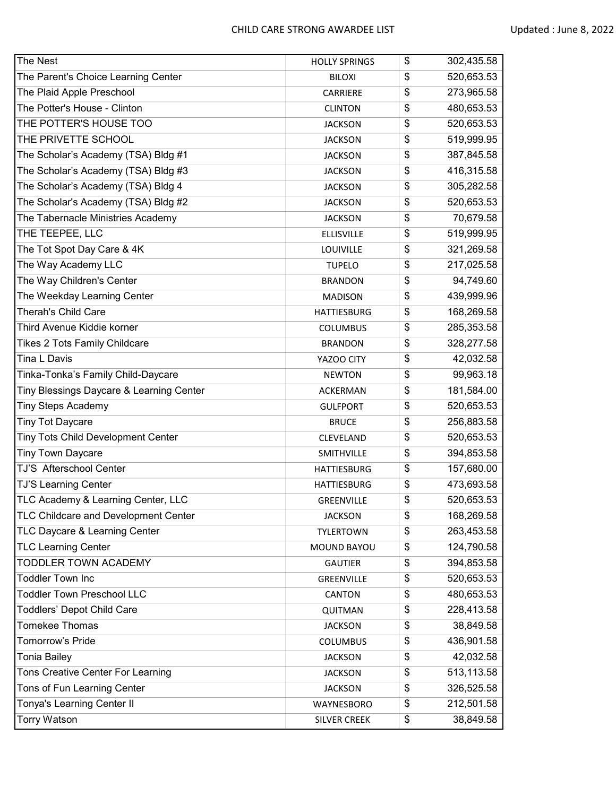| The Nest                                 | <b>HOLLY SPRINGS</b> | \$<br>302,435.58 |
|------------------------------------------|----------------------|------------------|
| The Parent's Choice Learning Center      | <b>BILOXI</b>        | \$<br>520,653.53 |
| The Plaid Apple Preschool                | CARRIERE             | \$<br>273,965.58 |
| The Potter's House - Clinton             | <b>CLINTON</b>       | \$<br>480,653.53 |
| THE POTTER'S HOUSE TOO                   | <b>JACKSON</b>       | \$<br>520,653.53 |
| THE PRIVETTE SCHOOL                      | <b>JACKSON</b>       | \$<br>519,999.95 |
| The Scholar's Academy (TSA) Bldg #1      | <b>JACKSON</b>       | \$<br>387,845.58 |
| The Scholar's Academy (TSA) Bldg #3      | <b>JACKSON</b>       | \$<br>416,315.58 |
| The Scholar's Academy (TSA) Bldg 4       | <b>JACKSON</b>       | \$<br>305,282.58 |
| The Scholar's Academy (TSA) Bldg #2      | <b>JACKSON</b>       | \$<br>520,653.53 |
| The Tabernacle Ministries Academy        | <b>JACKSON</b>       | \$<br>70,679.58  |
| THE TEEPEE, LLC                          | <b>ELLISVILLE</b>    | \$<br>519,999.95 |
| The Tot Spot Day Care & 4K               | LOUIVILLE            | \$<br>321,269.58 |
| The Way Academy LLC                      | <b>TUPELO</b>        | \$<br>217,025.58 |
| The Way Children's Center                | <b>BRANDON</b>       | \$<br>94,749.60  |
| The Weekday Learning Center              | <b>MADISON</b>       | \$<br>439,999.96 |
| Therah's Child Care                      | <b>HATTIESBURG</b>   | \$<br>168,269.58 |
| Third Avenue Kiddie korner               | <b>COLUMBUS</b>      | \$<br>285,353.58 |
| Tikes 2 Tots Family Childcare            | <b>BRANDON</b>       | \$<br>328,277.58 |
| Tina L Davis                             | YAZOO CITY           | \$<br>42,032.58  |
| Tinka-Tonka's Family Child-Daycare       | <b>NEWTON</b>        | \$<br>99,963.18  |
| Tiny Blessings Daycare & Learning Center | <b>ACKERMAN</b>      | \$<br>181,584.00 |
| <b>Tiny Steps Academy</b>                | <b>GULFPORT</b>      | \$<br>520,653.53 |
| <b>Tiny Tot Daycare</b>                  | <b>BRUCE</b>         | \$<br>256,883.58 |
| Tiny Tots Child Development Center       | CLEVELAND            | \$<br>520,653.53 |
| <b>Tiny Town Daycare</b>                 | SMITHVILLE           | \$<br>394,853.58 |
| TJ'S Afterschool Center                  | <b>HATTIESBURG</b>   | \$<br>157,680.00 |
| TJ'S Learning Center                     | <b>HATTIESBURG</b>   | \$<br>473,693.58 |
| TLC Academy & Learning Center, LLC       | GREENVILLE           | \$<br>520,653.53 |
| TLC Childcare and Development Center     | <b>JACKSON</b>       | \$<br>168,269.58 |
| TLC Daycare & Learning Center            | <b>TYLERTOWN</b>     | \$<br>263,453.58 |
| <b>TLC Learning Center</b>               | MOUND BAYOU          | \$<br>124,790.58 |
| TODDLER TOWN ACADEMY                     | <b>GAUTIER</b>       | \$<br>394,853.58 |
| <b>Toddler Town Inc</b>                  | GREENVILLE           | \$<br>520,653.53 |
| <b>Toddler Town Preschool LLC</b>        | <b>CANTON</b>        | \$<br>480,653.53 |
| <b>Toddlers' Depot Child Care</b>        | QUITMAN              | \$<br>228,413.58 |
| <b>Tomekee Thomas</b>                    | <b>JACKSON</b>       | \$<br>38,849.58  |
| Tomorrow's Pride                         | <b>COLUMBUS</b>      | \$<br>436,901.58 |
| Tonia Bailey                             | <b>JACKSON</b>       | \$<br>42,032.58  |
| Tons Creative Center For Learning        | <b>JACKSON</b>       | \$<br>513,113.58 |
| Tons of Fun Learning Center              | <b>JACKSON</b>       | \$<br>326,525.58 |
| Tonya's Learning Center II               | WAYNESBORO           | \$<br>212,501.58 |
| <b>Torry Watson</b>                      | SILVER CREEK         | \$<br>38,849.58  |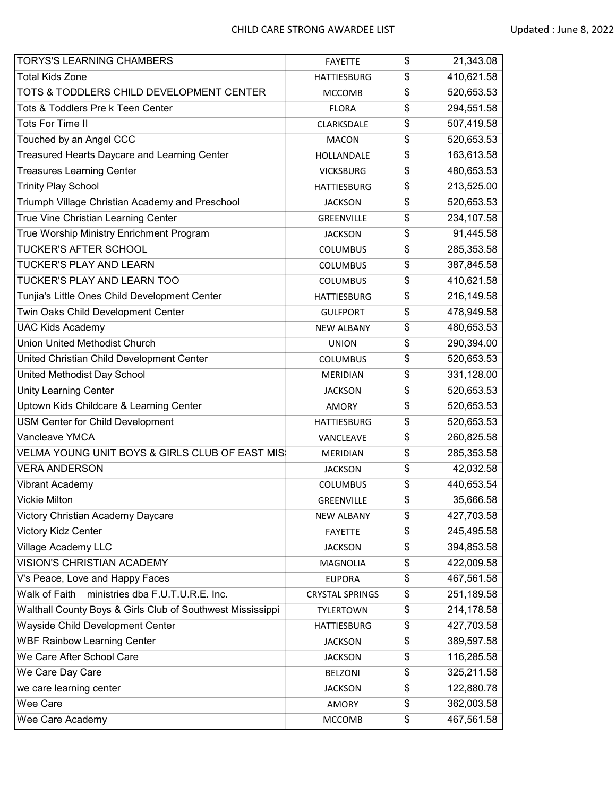| <b>TORYS'S LEARNING CHAMBERS</b>                           | <b>FAYETTE</b>         | \$<br>21,343.08  |
|------------------------------------------------------------|------------------------|------------------|
| <b>Total Kids Zone</b>                                     | <b>HATTIESBURG</b>     | \$<br>410,621.58 |
| TOTS & TODDLERS CHILD DEVELOPMENT CENTER                   | <b>MCCOMB</b>          | \$<br>520,653.53 |
| Tots & Toddlers Pre k Teen Center                          | <b>FLORA</b>           | \$<br>294,551.58 |
| Tots For Time II                                           | CLARKSDALE             | \$<br>507,419.58 |
| Touched by an Angel CCC                                    | <b>MACON</b>           | \$<br>520,653.53 |
| Treasured Hearts Daycare and Learning Center               | HOLLANDALE             | \$<br>163,613.58 |
| <b>Treasures Learning Center</b>                           | <b>VICKSBURG</b>       | \$<br>480,653.53 |
| <b>Trinity Play School</b>                                 | <b>HATTIESBURG</b>     | \$<br>213,525.00 |
| Triumph Village Christian Academy and Preschool            | <b>JACKSON</b>         | \$<br>520,653.53 |
| True Vine Christian Learning Center                        | GREENVILLE             | \$<br>234,107.58 |
| True Worship Ministry Enrichment Program                   | <b>JACKSON</b>         | \$<br>91,445.58  |
| TUCKER'S AFTER SCHOOL                                      | <b>COLUMBUS</b>        | \$<br>285,353.58 |
| TUCKER'S PLAY AND LEARN                                    | <b>COLUMBUS</b>        | \$<br>387,845.58 |
| TUCKER'S PLAY AND LEARN TOO                                | <b>COLUMBUS</b>        | \$<br>410,621.58 |
| Tunjia's Little Ones Child Development Center              | <b>HATTIESBURG</b>     | \$<br>216,149.58 |
| Twin Oaks Child Development Center                         | <b>GULFPORT</b>        | \$<br>478,949.58 |
| <b>UAC Kids Academy</b>                                    | <b>NEW ALBANY</b>      | \$<br>480,653.53 |
| <b>Union United Methodist Church</b>                       | <b>UNION</b>           | \$<br>290,394.00 |
| United Christian Child Development Center                  | <b>COLUMBUS</b>        | \$<br>520,653.53 |
| United Methodist Day School                                | <b>MERIDIAN</b>        | \$<br>331,128.00 |
| <b>Unity Learning Center</b>                               | <b>JACKSON</b>         | \$<br>520,653.53 |
| Uptown Kids Childcare & Learning Center                    | <b>AMORY</b>           | \$<br>520,653.53 |
| USM Center for Child Development                           | <b>HATTIESBURG</b>     | \$<br>520,653.53 |
| Vancleave YMCA                                             | VANCLEAVE              | \$<br>260,825.58 |
| VELMA YOUNG UNIT BOYS & GIRLS CLUB OF EAST MIS             | <b>MERIDIAN</b>        | \$<br>285,353.58 |
| <b>VERA ANDERSON</b>                                       | <b>JACKSON</b>         | \$<br>42,032.58  |
| Vibrant Academy                                            | <b>COLUMBUS</b>        | \$<br>440,653.54 |
| <b>Vickie Milton</b>                                       | <b>GREENVILLE</b>      | \$<br>35,666.58  |
| Victory Christian Academy Daycare                          | <b>NEW ALBANY</b>      | \$<br>427,703.58 |
| Victory Kidz Center                                        | <b>FAYETTE</b>         | \$<br>245,495.58 |
| Village Academy LLC                                        | <b>JACKSON</b>         | \$<br>394,853.58 |
| VISION'S CHRISTIAN ACADEMY                                 | MAGNOLIA               | \$<br>422,009.58 |
| V's Peace, Love and Happy Faces                            | <b>EUPORA</b>          | \$<br>467,561.58 |
| ministries dba F.U.T.U.R.E. Inc.<br>Walk of Faith          | <b>CRYSTAL SPRINGS</b> | \$<br>251,189.58 |
| Walthall County Boys & Girls Club of Southwest Mississippi | <b>TYLERTOWN</b>       | \$<br>214,178.58 |
| Wayside Child Development Center                           | <b>HATTIESBURG</b>     | \$<br>427,703.58 |
| <b>WBF Rainbow Learning Center</b>                         | <b>JACKSON</b>         | \$<br>389,597.58 |
| We Care After School Care                                  | <b>JACKSON</b>         | \$<br>116,285.58 |
| We Care Day Care                                           | <b>BELZONI</b>         | \$<br>325,211.58 |
| we care learning center                                    | <b>JACKSON</b>         | \$<br>122,880.78 |
| Wee Care                                                   | AMORY                  | \$<br>362,003.58 |
| Wee Care Academy                                           | MCCOMB                 | \$<br>467,561.58 |